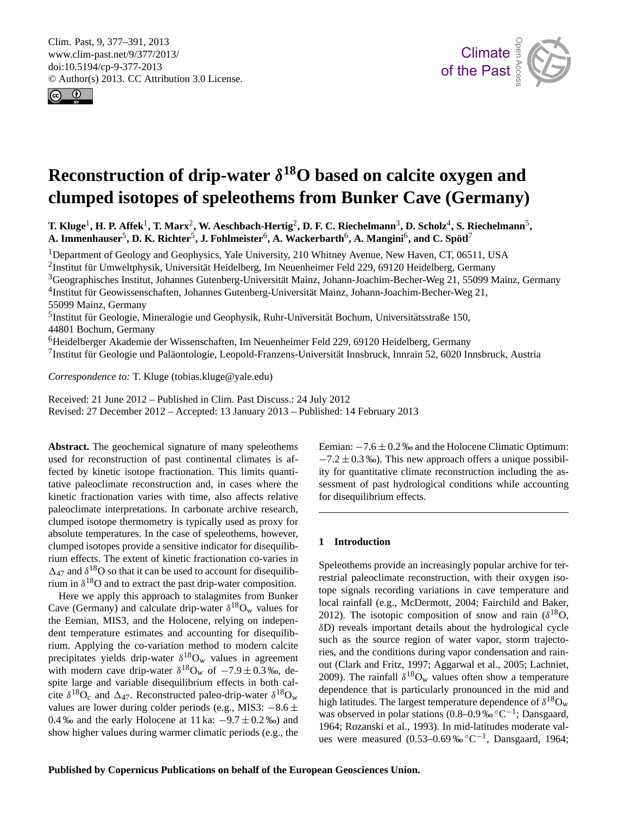<span id="page-0-0"></span>Clim. Past, 9, 377–391, 2013 www.clim-past.net/9/377/2013/ doi:10.5194/cp-9-377-2013 © Author(s) 2013. CC Attribution 3.0 License.





# $\overline{G}$  ${\bf clumped}$  isotopes of speleothems from Bunker Cave (Germany) y<br><sub>ni</sub> **Reconstruction of drip-water** δ **<sup>18</sup>O based on calcite oxygen and**

 $\bf{T. Kluge}^1, H. P. Affek^1, T. Marx^2, W. Aeschbach-Hertig^2, D. F. C. Riechelmann^3, D. Scholz^4, S. Riechelmann^5,$ **A. Immenhauser<sup>5</sup>, D. K. Richter<sup>5</sup>, J. Fohlmeister<sup>6</sup>, A. Wackerbarth<sup>6</sup>, A. Mangini<sup>6</sup>, and C. Spötl<sup>7</sup>** 

<sup>1</sup>Department of Geology and Geophysics, Yale University, 210 Whitney Avenue, New Haven, CT, 06511, USA

 $\mathbf{z},$  $^2$ Institut für Umweltphysik, Universität Heidelberg, Im Neuenheimer Feld 229, 69120 Heidelberg, Germany

<sup>3</sup>Geographisches Institut, Johannes Gutenberg-Universität Mainz, Johann-Joachim-Becher-Weg 21, 55099 Mainz, Germany

4 Institut für Geowissenschaften, Johannes Gutenberg-Universität Mainz, Johann-Joachim-Becher-Weg 21, 55099 Mainz, Germany

<sup>5</sup>Institut für Geologie, Mineralogie und Geophysik, Ruhr-Universität Bochum, Universitätsstraße 150, 44801 Bochum, Germany

<sup>6</sup>Heidelberger Akademie der Wissenschaften, Im Neuenheimer Feld 229, 69120 Heidelberg, Germany

 $^7$ Institut für Geologie und Paläontologie, Leopold-Franzens-Universität Innsbruck, Innrain 52, 6020 Innsbruck, Austria  $\lambda$ u

*Correspondence to:* T. Kluge (tobias.kluge@yale.edu)

Received: 21 June 2012 – Published in Clim. Past Discuss.: 24 July 2012 Revised: 27 December 2012 – Accepted: 13 January 2013 – Published: 14 February 2013

**Abstract.** The geochemical signature of many speleothems used for reconstruction of past continental climates is affected by kinetic isotope fractionation. This limits quantitative paleoclimate reconstruction and, in cases where the kinetic fractionation varies with time, also affects relative paleoclimate interpretations. In carbonate archive research, clumped isotope thermometry is typically used as proxy for absolute temperatures. In the case of speleothems, however, clumped isotopes provide a sensitive indicator for disequilibrium effects. The extent of kinetic fractionation co-varies in  $\Delta_{47}$  and  $\delta^{18}$ O so that it can be used to account for disequilibrium in  $\delta^{18}$ O and to extract the past drip-water composition.

Here we apply this approach to stalagmites from Bunker Cave (Germany) and calculate drip-water  $\delta^{18}O_w$  values for the Eemian, MIS3, and the Holocene, relying on independent temperature estimates and accounting for disequilibrium. Applying the co-variation method to modern calcite precipitates yields drip-water  $\delta^{18}O_w$  values in agreement with modern cave drip-water  $\delta^{18}O_w$  of  $-7.9 \pm 0.3$ %, despite large and variable disequilibrium effects in both calcite  $\delta^{18}O_c$  and  $\Delta_{47}$ . Reconstructed paleo-drip-water  $\delta^{18}O_w$ values are lower during colder periods (e.g., MIS3:  $-8.6 \pm$ 0.4 ‰ and the early Holocene at 11 ka:  $-9.7 \pm 0.2$  ‰) and show higher values during warmer climatic periods (e.g., the

tid<br>. Solid Earth  $\overline{e}$ Eemian: −7.6 ± 0.2 ‰ and the Holocene Climatic Optimum:  $-7.2 \pm 0.3$  ‰). This new approach offers a unique possibility for quantitative climate reconstruction including the assessment of past hydrological conditions while accounting for disequilibrium effects.

#### **1 Introduction**

restrial paleoclimate reconstruction, with their oxygen isorel<br>C<br>Ape Speleothems provide an increasingly popular archive for tertope signals recording variations in cave temperature and local rainfall (e.g., McDermott, 2004; Fairchild and Baker, 2012). The isotopic composition of snow and rain  $(\delta^{18}O,$ δD) reveals important details about the hydrological cycle such as the source region of water vapor, storm trajectories, and the conditions during vapor condensation and rainout (Clark and Fritz, 1997; Aggarwal et al., 2005; Lachniet, 2009). The rainfall  $\delta^{18}O_w$  values often show a temperature dependence that is particularly pronounced in the mid and high latitudes. The largest temperature dependence of  $\delta^{18}O_w$ was observed in polar stations (0.8–0.9‰°C<sup>-1</sup>; Dansgaard, 1964; Rozanski et al., 1993). In mid-latitudes moderate values were measured  $(0.53-0.69\%°C^{-1}$ , Dansgaard, 1964;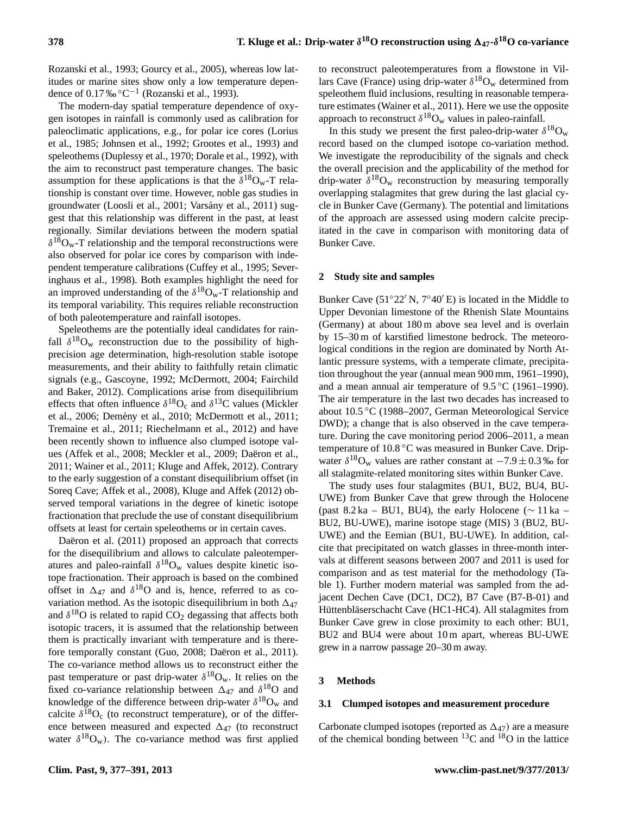Rozanski et al., 1993; Gourcy et al., 2005), whereas low latitudes or marine sites show only a low temperature dependence of 0.17‰  $^{\circ}$ C<sup>-1</sup> (Rozanski et al., 1993).

The modern-day spatial temperature dependence of oxygen isotopes in rainfall is commonly used as calibration for paleoclimatic applications, e.g., for polar ice cores (Lorius et al., 1985; Johnsen et al., 1992; Grootes et al., 1993) and speleothems (Duplessy et al., 1970; Dorale et al., 1992), with the aim to reconstruct past temperature changes. The basic assumption for these applications is that the  $\delta^{18}O_w$ -T relationship is constant over time. However, noble gas studies in groundwater (Loosli et al., 2001; Varsany et al., 2011) sug- ´ gest that this relationship was different in the past, at least regionally. Similar deviations between the modern spatial  $\delta^{18}O_w$ -T relationship and the temporal reconstructions were also observed for polar ice cores by comparison with independent temperature calibrations (Cuffey et al., 1995; Severinghaus et al., 1998). Both examples highlight the need for an improved understanding of the  $\delta^{18}O_w$ -T relationship and its temporal variability. This requires reliable reconstruction of both paleotemperature and rainfall isotopes.

Speleothems are the potentially ideal candidates for rainfall  $\delta^{18}O_w$  reconstruction due to the possibility of highprecision age determination, high-resolution stable isotope measurements, and their ability to faithfully retain climatic signals (e.g., Gascoyne, 1992; McDermott, 2004; Fairchild and Baker, 2012). Complications arise from disequilibrium effects that often influence  $\delta^{18}O_c$  and  $\delta^{13}C$  values (Mickler et al., 2006; Demény et al., 2010; McDermott et al., 2011; Tremaine et al., 2011; Riechelmann et al., 2012) and have been recently shown to influence also clumped isotope values (Affek et al., 2008; Meckler et al., 2009; Daëron et al., 2011; Wainer et al., 2011; Kluge and Affek, 2012). Contrary to the early suggestion of a constant disequilibrium offset (in Soreq Cave; Affek et al., 2008), Kluge and Affek (2012) observed temporal variations in the degree of kinetic isotope fractionation that preclude the use of constant disequilibrium offsets at least for certain speleothems or in certain caves.

Daëron et al. (2011) proposed an approach that corrects for the disequilibrium and allows to calculate paleotemperatures and paleo-rainfall  $\delta^{18}O_w$  values despite kinetic isotope fractionation. Their approach is based on the combined offset in  $\Delta_{47}$  and  $\delta^{18}$ O and is, hence, referred to as covariation method. As the isotopic disequilibrium in both  $\Delta_{47}$ and  $\delta^{18}$ O is related to rapid CO<sub>2</sub> degassing that affects both isotopic tracers, it is assumed that the relationship between them is practically invariant with temperature and is therefore temporally constant (Guo, 2008; Daëron et al., 2011). The co-variance method allows us to reconstruct either the past temperature or past drip-water  $\delta^{18}O_w$ . It relies on the fixed co-variance relationship between  $\Delta_{47}$  and  $\delta^{18}$ O and knowledge of the difference between drip-water  $\delta^{18}O_w$  and calcite  $\delta^{18}O_c$  (to reconstruct temperature), or of the difference between measured and expected  $\Delta_{47}$  (to reconstruct water  $\delta^{18}O_w$ ). The co-variance method was first applied

to reconstruct paleotemperatures from a flowstone in Villars Cave (France) using drip-water  $\delta^{18}O_w$  determined from speleothem fluid inclusions, resulting in reasonable temperature estimates (Wainer et al., 2011). Here we use the opposite approach to reconstruct  $\delta^{18}O_w$  values in paleo-rainfall.

In this study we present the first paleo-drip-water  $\delta^{18}O_w$ record based on the clumped isotope co-variation method. We investigate the reproducibility of the signals and check the overall precision and the applicability of the method for drip-water  $\delta^{18}O_w$  reconstruction by measuring temporally overlapping stalagmites that grew during the last glacial cycle in Bunker Cave (Germany). The potential and limitations of the approach are assessed using modern calcite precipitated in the cave in comparison with monitoring data of Bunker Cave.

#### **2 Study site and samples**

Bunker Cave (51°22′ N, 7°40′ E) is located in the Middle to Upper Devonian limestone of the Rhenish Slate Mountains (Germany) at about 180 m above sea level and is overlain by 15–30 m of karstified limestone bedrock. The meteorological conditions in the region are dominated by North Atlantic pressure systems, with a temperate climate, precipitation throughout the year (annual mean 900 mm, 1961–1990), and a mean annual air temperature of 9.5 ◦C (1961–1990). The air temperature in the last two decades has increased to about 10.5 ◦C (1988–2007, German Meteorological Service DWD); a change that is also observed in the cave temperature. During the cave monitoring period 2006–2011, a mean temperature of 10.8 ◦C was measured in Bunker Cave. Dripwater  $\delta^{18}O_w$  values are rather constant at  $-7.9 \pm 0.3$  ‰ for all stalagmite-related monitoring sites within Bunker Cave.

The study uses four stalagmites (BU1, BU2, BU4, BU-UWE) from Bunker Cave that grew through the Holocene (past 8.2 ka – BU1, BU4), the early Holocene ( $\sim$  11 ka – BU2, BU-UWE), marine isotope stage (MIS) 3 (BU2, BU-UWE) and the Eemian (BU1, BU-UWE). In addition, calcite that precipitated on watch glasses in three-month intervals at different seasons between 2007 and 2011 is used for comparison and as test material for the methodology (Table 1). Further modern material was sampled from the adjacent Dechen Cave (DC1, DC2), B7 Cave (B7-B-01) and Hüttenbläserschacht Cave (HC1-HC4). All stalagmites from Bunker Cave grew in close proximity to each other: BU1, BU2 and BU4 were about 10 m apart, whereas BU-UWE grew in a narrow passage 20–30 m away.

#### **3 Methods**

#### **3.1 Clumped isotopes and measurement procedure**

Carbonate clumped isotopes (reported as  $\Delta_{47}$ ) are a measure of the chemical bonding between  ${}^{13}$ C and  ${}^{18}$ O in the lattice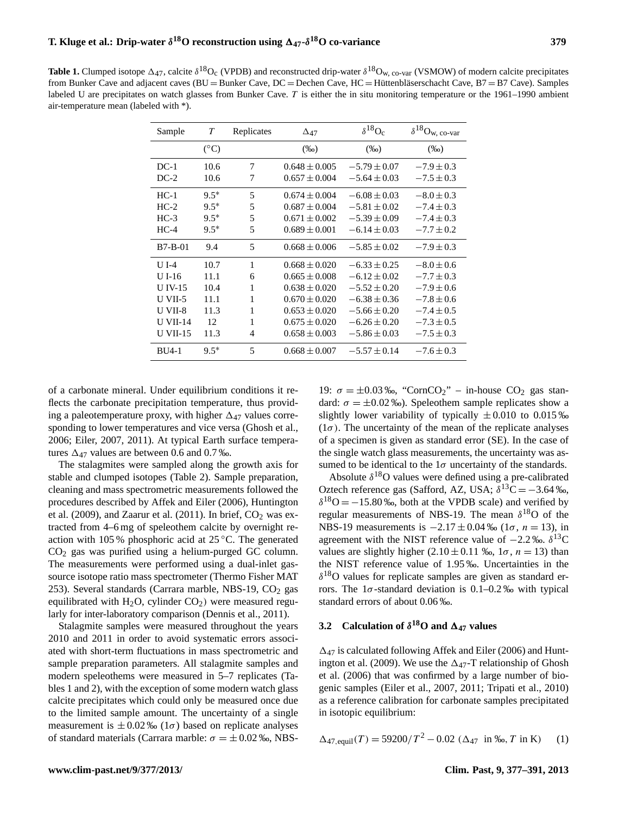| Sample          | $\tau$        | Replicates | $\Delta_{47}$     | $\delta^{18}O_c$ | $\delta^{18}\mathrm{O}_\mathrm{w,\;co-var}$ |  |
|-----------------|---------------|------------|-------------------|------------------|---------------------------------------------|--|
|                 | $(^{\circ}C)$ |            | $(\%0)$           | $(\%0)$          | $(\%0)$                                     |  |
| $DC-1$          | 10.6          | 7          | $0.648 \pm 0.005$ | $-5.79 \pm 0.07$ | $-7.9 \pm 0.3$                              |  |
| $DC-2$          | 10.6          | 7          | $0.657 \pm 0.004$ | $-5.64 \pm 0.03$ | $-7.5 \pm 0.3$                              |  |
| $HC-1$          | $9.5*$        | 5          | $0.674 \pm 0.004$ | $-6.08 \pm 0.03$ | $-8.0 \pm 0.3$                              |  |
| $HC-2$          | $9.5*$        | 5          | $0.687 \pm 0.004$ | $-5.81 \pm 0.02$ | $-7.4 \pm 0.3$                              |  |
| $HC-3$          | $9.5*$        | 5          | $0.671 \pm 0.002$ | $-5.39 \pm 0.09$ | $-7.4 \pm 0.3$                              |  |
| $HC-4$          | $9.5*$        | 5          | $0.689 \pm 0.001$ | $-6.14 \pm 0.03$ | $-7.7 \pm 0.2$                              |  |
| $B7-B-01$       | 9.4           | 5          | $0.668 \pm 0.006$ | $-5.85 \pm 0.02$ | $-7.9 \pm 0.3$                              |  |
| $U$ I-4         | 10.7          | 1          | $0.668 \pm 0.020$ | $-6.33 \pm 0.25$ | $-8.0 \pm 0.6$                              |  |
| $U$ I-16        | 11.1          | 6          | $0.665 \pm 0.008$ | $-6.12 \pm 0.02$ | $-7.7 \pm 0.3$                              |  |
| $U$ IV-15       | 10.4          | 1          | $0.638 \pm 0.020$ | $-5.52 \pm 0.20$ | $-7.9 \pm 0.6$                              |  |
| $U$ VII-5       | 11.1          | 1          | $0.670 \pm 0.020$ | $-6.38 \pm 0.36$ | $-7.8 \pm 0.6$                              |  |
| U VII-8         | 11.3          | 1          | $0.653 \pm 0.020$ | $-5.66 \pm 0.20$ | $-7.4 \pm 0.5$                              |  |
| <b>U VII-14</b> | 12            | 1          | $0.675 \pm 0.020$ | $-6.26 \pm 0.20$ | $-7.3 \pm 0.5$                              |  |
| <b>U VII-15</b> | 11.3          | 4          | $0.658 \pm 0.003$ | $-5.86 \pm 0.03$ | $-7.5 \pm 0.3$                              |  |
| $BU4-1$         | $9.5*$        | 5          | $0.668 \pm 0.007$ | $-5.57 \pm 0.14$ | $-7.6 \pm 0.3$                              |  |

of a carbonate mineral. Under equilibrium conditions it reflects the carbonate precipitation temperature, thus providing a paleotemperature proxy, with higher  $\Delta_{47}$  values corresponding to lower temperatures and vice versa (Ghosh et al., 2006; Eiler, 2007, 2011). At typical Earth surface temperatures  $\Delta_{47}$  values are between 0.6 and 0.7 ‰.

The stalagmites were sampled along the growth axis for stable and clumped isotopes (Table 2). Sample preparation, cleaning and mass spectrometric measurements followed the procedures described by Affek and Eiler (2006), Huntington et al. (2009), and Zaarur et al. (2011). In brief,  $CO<sub>2</sub>$  was extracted from 4–6 mg of speleothem calcite by overnight reaction with 105 % phosphoric acid at 25 ◦C. The generated CO<sup>2</sup> gas was purified using a helium-purged GC column. The measurements were performed using a dual-inlet gassource isotope ratio mass spectrometer (Thermo Fisher MAT 253). Several standards (Carrara marble, NBS-19,  $CO<sub>2</sub>$  gas equilibrated with  $H_2O$ , cylinder  $CO<sub>2</sub>$ ) were measured regularly for inter-laboratory comparison (Dennis et al., 2011).

Stalagmite samples were measured throughout the years 2010 and 2011 in order to avoid systematic errors associated with short-term fluctuations in mass spectrometric and sample preparation parameters. All stalagmite samples and modern speleothems were measured in 5–7 replicates (Tables 1 and 2), with the exception of some modern watch glass calcite precipitates which could only be measured once due to the limited sample amount. The uncertainty of a single measurement is  $\pm 0.02\%$  (1 $\sigma$ ) based on replicate analyses of standard materials (Carrara marble:  $\sigma = \pm 0.02$  ‰, NBS-

19:  $\sigma = \pm 0.03\%$ , "CornCO<sub>2</sub>" – in-house CO<sub>2</sub> gas standard:  $\sigma = \pm 0.02$  ‰). Speleothem sample replicates show a slightly lower variability of typically  $\pm 0.010$  to 0.015 ‰  $(1\sigma)$ . The uncertainty of the mean of the replicate analyses of a specimen is given as standard error (SE). In the case of the single watch glass measurements, the uncertainty was assumed to be identical to the  $1\sigma$  uncertainty of the standards.

Absolute  $\delta^{18}$ O values were defined using a pre-calibrated Oztech reference gas (Safford, AZ, USA;  $\delta^{13}C = -3.64\%$ ,  $\delta^{18}$ O = -15.80‰, both at the VPDB scale) and verified by regular measurements of NBS-19. The mean  $\delta^{18}$ O of the NBS-19 measurements is  $-2.17 \pm 0.04$  ‰ (1 $\sigma$ ,  $n = 13$ ), in agreement with the NIST reference value of  $-2.2$  ‰.  $\delta^{13}$ C values are slightly higher  $(2.10 \pm 0.11 \text{ %}$ ,  $1\sigma$ ,  $n = 13$ ) than the NIST reference value of 1.95 ‰. Uncertainties in the δ <sup>18</sup>O values for replicate samples are given as standard errors. The  $1\sigma$ -standard deviation is 0.1–0.2% with typical standard errors of about 0.06 ‰.

# **3.2** Calculation of  $\delta^{18}$ O and  $\Delta_{47}$  values

 $\Delta_{47}$  is calculated following Affek and Eiler (2006) and Huntington et al. (2009). We use the  $\Delta_{47}$ -T relationship of Ghosh et al. (2006) that was confirmed by a large number of biogenic samples (Eiler et al., 2007, 2011; Tripati et al., 2010) as a reference calibration for carbonate samples precipitated in isotopic equilibrium:

$$
\Delta_{47, \text{equil}}(T) = 59200/T^2 - 0.02 \ (\Delta_{47} \text{ in } \%, T \text{ in } K) \tag{1}
$$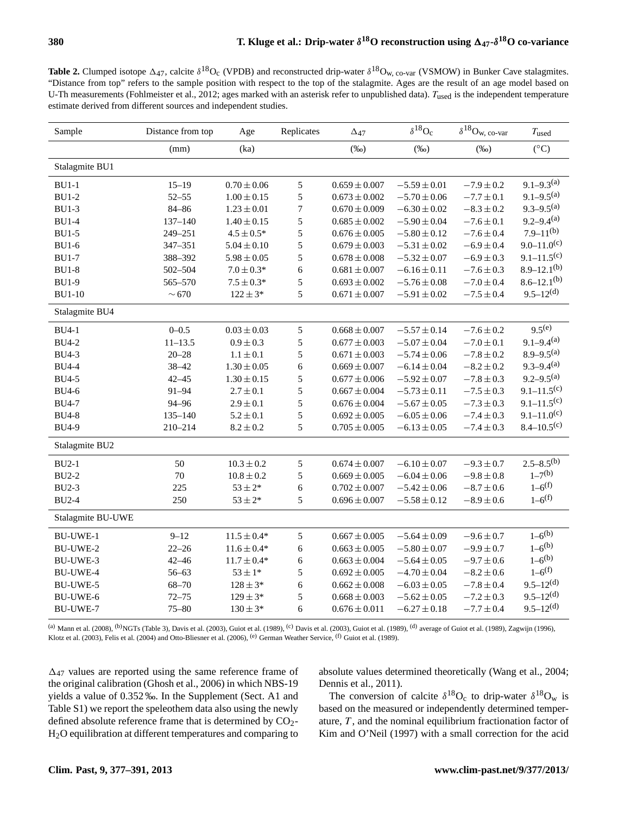**Table 2.** Clumped isotope  $\Delta_{47}$ , calcite  $\delta^{18}O_c$  (VPDB) and reconstructed drip-water  $\delta^{18}O_{w, co-var}$  (VSMOW) in Bunker Cave stalagmites. "Distance from top" refers to the sample position with respect to the top of the stalagmite. Ages are the result of an age model based on U-Th measurements (Fohlmeister et al., 2012; ages marked with an asterisk refer to unpublished data).  $T_{used}$  is the independent temperature estimate derived from different sources and independent studies.

| Sample            | Distance from top | Age             | Replicates | $\Delta_{47}$     | $\delta^{18}O_c$ | $\delta^{18}{\rm O}_{\rm W,\;co\text{-}var}$ | $T_{used}$         |
|-------------------|-------------------|-----------------|------------|-------------------|------------------|----------------------------------------------|--------------------|
|                   | (mm)              | (ka)            |            | $(\%0)$           | $(\%0)$          | $(\%0)$                                      | $({}^{\circ}C)$    |
| Stalagmite BU1    |                   |                 |            |                   |                  |                                              |                    |
| $BU1-1$           | $15 - 19$         | $0.70\pm0.06$   | 5          | $0.659 \pm 0.007$ | $-5.59 \pm 0.01$ | $-7.9 \pm 0.2$                               | $9.1 - 9.3^{(a)}$  |
| <b>BU1-2</b>      | $52 - 55$         | $1.00 \pm 0.15$ | 5          | $0.673 \pm 0.002$ | $-5.70 \pm 0.06$ | $-7.7 \pm 0.1$                               | $9.1 - 9.5^{(a)}$  |
| <b>BU1-3</b>      | $84 - 86$         | $1.23 \pm 0.01$ | 7          | $0.670 \pm 0.009$ | $-6.30 \pm 0.02$ | $-8.3 \pm 0.2$                               | $9.3 - 9.5^{(a)}$  |
| <b>BU1-4</b>      | $137 - 140$       | $1.40 \pm 0.15$ | 5          | $0.685 \pm 0.002$ | $-5.90 \pm 0.04$ | $-7.6 \pm 0.1$                               | $9.2 - 9.4^{(a)}$  |
| <b>BU1-5</b>      | 249-251           | $4.5 \pm 0.5*$  | 5          | $0.676 \pm 0.005$ | $-5.80 \pm 0.12$ | $-7.6 \pm 0.4$                               | $7.9 - 11^{(b)}$   |
| <b>BU1-6</b>      | 347-351           | $5.04 \pm 0.10$ | 5          | $0.679 \pm 0.003$ | $-5.31 \pm 0.02$ | $-6.9 \pm 0.4$                               | $9.0 - 11.0^{(c)}$ |
| <b>BU1-7</b>      | 388-392           | $5.98 \pm 0.05$ | 5          | $0.678 \pm 0.008$ | $-5.32 \pm 0.07$ | $-6.9 \pm 0.3$                               | $9.1 - 11.5(c)$    |
| <b>BU1-8</b>      | 502-504           | $7.0 \pm 0.3*$  | 6          | $0.681 \pm 0.007$ | $-6.16 \pm 0.11$ | $-7.6 \pm 0.3$                               | $8.9 - 12.1^{(b)}$ |
| <b>BU1-9</b>      | 565-570           | $7.5 \pm 0.3*$  | 5          | $0.693 \pm 0.002$ | $-5.76 \pm 0.08$ | $-7.0 \pm 0.4$                               | $8.6 - 12.1^{(b)}$ |
| <b>BU1-10</b>     | $\sim\!670$       | $122 \pm 3*$    | 5          | $0.671\pm0.007$   | $-5.91 \pm 0.02$ | $-7.5 \pm 0.4$                               | $9.5 - 12(d)$      |
| Stalagmite BU4    |                   |                 |            |                   |                  |                                              |                    |
| <b>BU4-1</b>      | $0 - 0.5$         | $0.03 \pm 0.03$ | 5          | $0.668 \pm 0.007$ | $-5.57 \pm 0.14$ | $-7.6 \pm 0.2$                               | $9.5^{(e)}$        |
| <b>BU4-2</b>      | $11 - 13.5$       | $0.9 \pm 0.3$   | 5          | $0.677 \pm 0.003$ | $-5.07 \pm 0.04$ | $-7.0 \pm 0.1$                               | $9.1 - 9.4^{(a)}$  |
| <b>BU4-3</b>      | $20 - 28$         | $1.1 \pm 0.1$   | 5          | $0.671 \pm 0.003$ | $-5.74 \pm 0.06$ | $-7.8 \pm 0.2$                               | $8.9 - 9.5^{(a)}$  |
| <b>BU4-4</b>      | $38 - 42$         | $1.30 \pm 0.05$ | 6          | $0.669 \pm 0.007$ | $-6.14 \pm 0.04$ | $-8.2 \pm 0.2$                               | $9.3 - 9.4^{(a)}$  |
| <b>BU4-5</b>      | $42 - 45$         | $1.30 \pm 0.15$ | 5          | $0.677\pm0.006$   | $-5.92 \pm 0.07$ | $-7.8 \pm 0.3$                               | $9.2 - 9.5^{(a)}$  |
| <b>BU4-6</b>      | $91 - 94$         | $2.7 \pm 0.1$   | 5          | $0.667 \pm 0.004$ | $-5.73 \pm 0.11$ | $-7.5 \pm 0.3$                               | $9.1 - 11.5(c)$    |
| <b>BU4-7</b>      | 94-96             | $2.9 \pm 0.1$   | 5          | $0.676 \pm 0.004$ | $-5.67 \pm 0.05$ | $-7.3 \pm 0.3$                               | $9.1 - 11.5(c)$    |
| <b>BU4-8</b>      | $135 - 140$       | $5.2 \pm 0.1$   | 5          | $0.692 \pm 0.005$ | $-6.05 \pm 0.06$ | $-7.4 \pm 0.3$                               | $9.1 - 11.0^{(c)}$ |
| <b>BU4-9</b>      | 210-214           | $8.2 \pm 0.2$   | 5          | $0.705 \pm 0.005$ | $-6.13 \pm 0.05$ | $-7.4 \pm 0.3$                               | $8.4 - 10.5(c)$    |
| Stalagmite BU2    |                   |                 |            |                   |                  |                                              |                    |
| $BU2-1$           | 50                | $10.3 \pm 0.2$  | 5          | $0.674 \pm 0.007$ | $-6.10 \pm 0.07$ | $-9.3 \pm 0.7$                               | $2.5 - 8.5^{(b)}$  |
| <b>BU2-2</b>      | 70                | $10.8 \pm 0.2$  | 5          | $0.669 \pm 0.005$ | $-6.04 \pm 0.06$ | $-9.8 \pm 0.8$                               | $1-7^{(b)}$        |
| <b>BU2-3</b>      | 225               | $53\pm2*$       | 6          | $0.702 \pm 0.007$ | $-5.42 \pm 0.06$ | $-8.7 \pm 0.6$                               | $1 - 6^{(f)}$      |
| <b>BU2-4</b>      | 250               | $53\pm2*$       | 5          | $0.696 \pm 0.007$ | $-5.58 \pm 0.12$ | $-8.9\pm0.6$                                 | $1 - 6^{(f)}$      |
| Stalagmite BU-UWE |                   |                 |            |                   |                  |                                              |                    |
| <b>BU-UWE-1</b>   | $9 - 12$          | $11.5 \pm 0.4*$ | 5          | $0.667 \pm 0.005$ | $-5.64 \pm 0.09$ | $-9.6 \pm 0.7$                               | $1-6^{(b)}$        |
| <b>BU-UWE-2</b>   | $22 - 26$         | $11.6 \pm 0.4*$ | 6          | $0.663 \pm 0.005$ | $-5.80 \pm 0.07$ | $-9.9 \pm 0.7$                               | $1-6^{(b)}$        |
| BU-UWE-3          | $42 - 46$         | $11.7 \pm 0.4*$ | 6          | $0.663 \pm 0.004$ | $-5.64 \pm 0.05$ | $-9.7 \pm 0.6$                               | $1-6^{(b)}$        |
| <b>BU-UWE-4</b>   | $56 - 63$         | $53 \pm 1*$     | 5          | $0.692 \pm 0.005$ | $-4.70 \pm 0.04$ | $-8.2 \pm 0.6$                               | $1 - 6^{(f)}$      |
| BU-UWE-5          | 68-70             | $128 \pm 3*$    | 6          | $0.662 \pm 0.008$ | $-6.03 \pm 0.05$ | $-7.8 \pm 0.4$                               | $9.5 - 12(d)$      |
| BU-UWE-6          | $72 - 75$         | $129 \pm 3*$    | 5          | $0.668 \pm 0.003$ | $-5.62 \pm 0.05$ | $-7.2 \pm 0.3$                               | $9.5 - 12^{(d)}$   |
| <b>BU-UWE-7</b>   | $75 - 80$         | $130 \pm 3*$    | 6          | $0.676 \pm 0.011$ | $-6.27 \pm 0.18$ | $-7.7\pm0.4$                                 | $9.5 - 12(d)$      |

(a) Mann et al. (2008), <sup>(b)</sup>NGTs (Table 3), Davis et al. (2003), Guiot et al. (1989), <sup>(c)</sup> Davis et al. (2003), Guiot et al. (1989), <sup>(d)</sup> average of Guiot et al. (1989), Zagwijn (1996), Klotz et al. (2003), Felis et al. (2004) and Otto-Bliesner et al. (2006), (e) German Weather Service, (f) Guiot et al. (1989).

 $\Delta_{47}$  values are reported using the same reference frame of the original calibration (Ghosh et al., 2006) in which NBS-19 yields a value of 0.352 ‰. In the Supplement (Sect. A1 and Table S1) we report the speleothem data also using the newly defined absolute reference frame that is determined by  $CO<sub>2</sub>$ -H2O equilibration at different temperatures and comparing to absolute values determined theoretically (Wang et al., 2004; Dennis et al., 2011).

The conversion of calcite  $\delta^{18}O_c$  to drip-water  $\delta^{18}O_w$  is based on the measured or independently determined temperature,  $T$ , and the nominal equilibrium fractionation factor of Kim and O'Neil (1997) with a small correction for the acid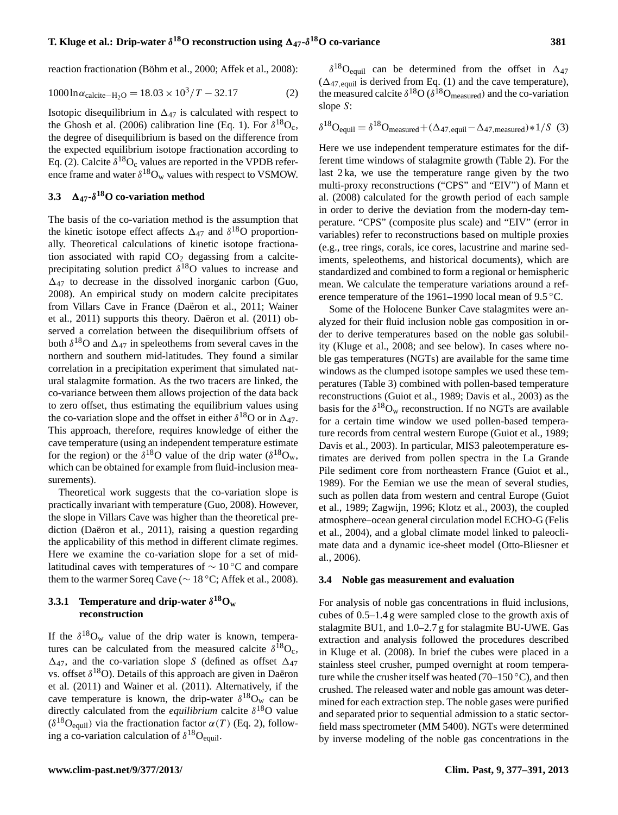reaction fractionation (Böhm et al., 2000; Affek et al., 2008):

$$
1000 \ln \alpha_{\text{calcite}-\text{H}_2\text{O}} = 18.03 \times 10^3 / T - 32.17 \tag{2}
$$

Isotopic disequilibrium in  $\Delta_{47}$  is calculated with respect to the Ghosh et al. (2006) calibration line (Eq. 1). For  $\delta^{18}O_c$ , the degree of disequilibrium is based on the difference from the expected equilibrium isotope fractionation according to Eq. (2). Calcite  $\delta^{18}O_c$  values are reported in the VPDB reference frame and water  $\delta^{18}O_w$  values with respect to VSMOW.

# **3.3**  $\Delta_{47}$ - $\delta^{18}$ O co-variation method

The basis of the co-variation method is the assumption that the kinetic isotope effect affects  $\Delta_{47}$  and  $\delta^{18}$ O proportionally. Theoretical calculations of kinetic isotope fractionation associated with rapid  $CO<sub>2</sub>$  degassing from a calciteprecipitating solution predict  $\delta^{18}$ O values to increase and  $\Delta_{47}$  to decrease in the dissolved inorganic carbon (Guo, 2008). An empirical study on modern calcite precipitates from Villars Cave in France (Daëron et al., 2011; Wainer et al., 2011) supports this theory. Daëron et al. (2011) observed a correlation between the disequilibrium offsets of both  $\delta^{18}$ O and  $\Delta_{47}$  in speleothems from several caves in the northern and southern mid-latitudes. They found a similar correlation in a precipitation experiment that simulated natural stalagmite formation. As the two tracers are linked, the co-variance between them allows projection of the data back to zero offset, thus estimating the equilibrium values using the co-variation slope and the offset in either  $\delta^{18}$ O or in  $\Delta_{47}$ . This approach, therefore, requires knowledge of either the cave temperature (using an independent temperature estimate for the region) or the  $\delta^{18}$ O value of the drip water ( $\delta^{18}$ O<sub>w</sub>, which can be obtained for example from fluid-inclusion measurements).

Theoretical work suggests that the co-variation slope is practically invariant with temperature (Guo, 2008). However, the slope in Villars Cave was higher than the theoretical prediction (Daëron et al., 2011), raising a question regarding the applicability of this method in different climate regimes. Here we examine the co-variation slope for a set of midlatitudinal caves with temperatures of  $\sim 10^{\circ}$ C and compare them to the warmer Soreq Cave ( $\sim 18$  °C; Affek et al., 2008).

### **3.3.1** Temperature and drip-water  $\delta^{18}O_w$ **reconstruction**

If the  $\delta^{18}O_w$  value of the drip water is known, temperatures can be calculated from the measured calcite  $\delta^{18}O_c$ ,  $\Delta_{47}$ , and the co-variation slope S (defined as offset  $\Delta_{47}$ vs. offset  $\delta^{18}O$ ). Details of this approach are given in Daëron et al. (2011) and Wainer et al. (2011). Alternatively, if the cave temperature is known, the drip-water  $\delta^{18}O_w$  can be directly calculated from the *equilibrium* calcite  $\delta^{18}$ O value  $(\delta^{18}O_{\text{equil}})$  via the fractionation factor  $\alpha(T)$  (Eq. 2), following a co-variation calculation of  $\delta^{18}O_{\text{equil}}$ .

 $\delta^{18}$ O<sub>equil</sub> can be determined from the offset in  $\Delta_{47}$  $(\Delta_{47, \text{equil}})$  is derived from Eq. (1) and the cave temperature), the measured calcite  $\delta^{18}O(\delta^{18}O_{\text{measured}})$  and the co-variation slope S:

$$
\delta^{18} \text{O}_{\text{equil}} = \delta^{18} \text{O}_{\text{measured}} + (\Delta_{47, \text{equil}} - \Delta_{47, \text{measured}}) * 1/S \tag{3}
$$

Here we use independent temperature estimates for the different time windows of stalagmite growth (Table 2). For the last 2 ka, we use the temperature range given by the two multi-proxy reconstructions ("CPS" and "EIV") of Mann et al. (2008) calculated for the growth period of each sample in order to derive the deviation from the modern-day temperature. "CPS" (composite plus scale) and "EIV" (error in variables) refer to reconstructions based on multiple proxies (e.g., tree rings, corals, ice cores, lacustrine and marine sediments, speleothems, and historical documents), which are standardized and combined to form a regional or hemispheric mean. We calculate the temperature variations around a reference temperature of the 1961–1990 local mean of 9.5 ◦C.

Some of the Holocene Bunker Cave stalagmites were analyzed for their fluid inclusion noble gas composition in order to derive temperatures based on the noble gas solubility (Kluge et al., 2008; and see below). In cases where noble gas temperatures (NGTs) are available for the same time windows as the clumped isotope samples we used these temperatures (Table 3) combined with pollen-based temperature reconstructions (Guiot et al., 1989; Davis et al., 2003) as the basis for the  $\delta^{18}O_w$  reconstruction. If no NGTs are available for a certain time window we used pollen-based temperature records from central western Europe (Guiot et al., 1989; Davis et al., 2003). In particular, MIS3 paleotemperature estimates are derived from pollen spectra in the La Grande Pile sediment core from northeastern France (Guiot et al., 1989). For the Eemian we use the mean of several studies, such as pollen data from western and central Europe (Guiot et al., 1989; Zagwijn, 1996; Klotz et al., 2003), the coupled atmosphere–ocean general circulation model ECHO-G (Felis et al., 2004), and a global climate model linked to paleoclimate data and a dynamic ice-sheet model (Otto-Bliesner et al., 2006).

#### **3.4 Noble gas measurement and evaluation**

For analysis of noble gas concentrations in fluid inclusions, cubes of 0.5–1.4 g were sampled close to the growth axis of stalagmite BU1, and 1.0–2.7 g for stalagmite BU-UWE. Gas extraction and analysis followed the procedures described in Kluge et al. (2008). In brief the cubes were placed in a stainless steel crusher, pumped overnight at room temperature while the crusher itself was heated (70–150 °C), and then crushed. The released water and noble gas amount was determined for each extraction step. The noble gases were purified and separated prior to sequential admission to a static sectorfield mass spectrometer (MM 5400). NGTs were determined by inverse modeling of the noble gas concentrations in the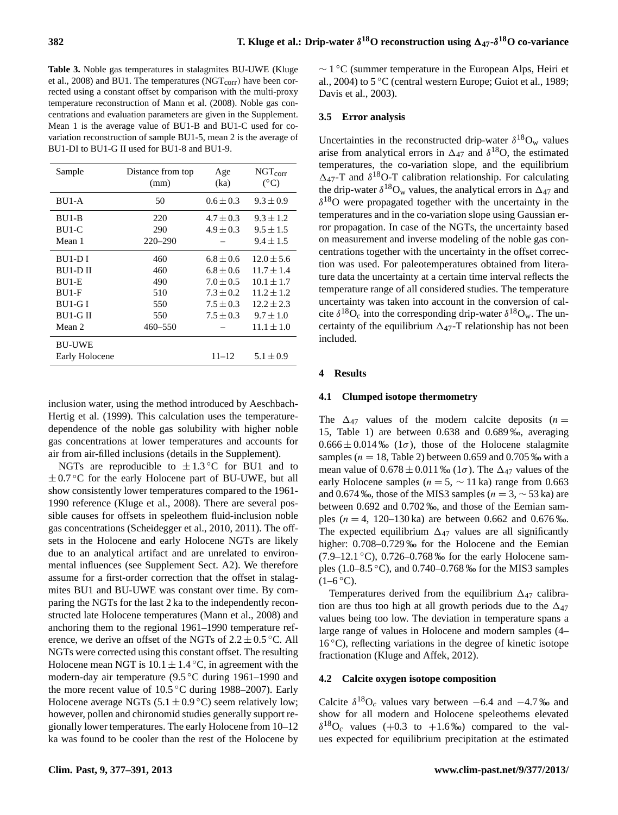**Table 3.** Noble gas temperatures in stalagmites BU-UWE (Kluge et al., 2008) and BU1. The temperatures (NGT<sub>corr</sub>) have been corrected using a constant offset by comparison with the multi-proxy temperature reconstruction of Mann et al. (2008). Noble gas concentrations and evaluation parameters are given in the Supplement. Mean 1 is the average value of BU1-B and BU1-C used for covariation reconstruction of sample BU1-5, mean 2 is the average of BU1-DI to BU1-G II used for BU1-8 and BU1-9.

| Sample         | Distance from top<br>(mm) | Age<br>(ka)   | $NGT_{corr}$<br>$(^{\circ}C)$ |
|----------------|---------------------------|---------------|-------------------------------|
| $BU1-A$        | 50                        | $0.6 \pm 0.3$ | $9.3 \pm 0.9$                 |
| BU1-B          | 220                       | $4.7 \pm 0.3$ | $9.3 \pm 1.2$                 |
| BU1-C          | 290                       | $4.9 \pm 0.3$ | $9.5 \pm 1.5$                 |
| Mean 1         | $220 - 290$               |               | $9.4 \pm 1.5$                 |
| BU1-DI         | 460                       | $6.8 \pm 0.6$ | $12.0 \pm 5.6$                |
| BU1-D II       | 460                       | $6.8 \pm 0.6$ | $11.7 \pm 1.4$                |
| BU1-E          | 490                       | $7.0 \pm 0.5$ | $10.1 \pm 1.7$                |
| $BUI-F$        | 510                       | $7.3 \pm 0.2$ | $11.2 \pm 1.2$                |
| BU1-G I        | 550                       | $7.5 \pm 0.3$ | $12.2 \pm 2.3$                |
| <b>BULGII</b>  | 550                       | $7.5 \pm 0.3$ | $9.7 \pm 1.0$                 |
| Mean 2         | $460 - 550$               |               | $11.1 \pm 1.0$                |
| <b>BU-UWE</b>  |                           |               |                               |
| Early Holocene |                           | $11 - 12$     | $5.1 \pm 0.9$                 |

inclusion water, using the method introduced by Aeschbach-Hertig et al. (1999). This calculation uses the temperaturedependence of the noble gas solubility with higher noble gas concentrations at lower temperatures and accounts for air from air-filled inclusions (details in the Supplement).

NGTs are reproducible to  $\pm 1.3$ °C for BU1 and to  $\pm 0.7$  °C for the early Holocene part of BU-UWE, but all show consistently lower temperatures compared to the 1961- 1990 reference (Kluge et al., 2008). There are several possible causes for offsets in speleothem fluid-inclusion noble gas concentrations (Scheidegger et al., 2010, 2011). The offsets in the Holocene and early Holocene NGTs are likely due to an analytical artifact and are unrelated to environmental influences (see Supplement Sect. A2). We therefore assume for a first-order correction that the offset in stalagmites BU1 and BU-UWE was constant over time. By comparing the NGTs for the last 2 ka to the independently reconstructed late Holocene temperatures (Mann et al., 2008) and anchoring them to the regional 1961–1990 temperature reference, we derive an offset of the NGTs of  $2.2 \pm 0.5$  °C. All NGTs were corrected using this constant offset. The resulting Holocene mean NGT is  $10.1 \pm 1.4$  °C, in agreement with the modern-day air temperature (9.5 ◦C during 1961–1990 and the more recent value of 10.5 ◦C during 1988–2007). Early Holocene average NGTs (5.1  $\pm$  0.9 °C) seem relatively low; however, pollen and chironomid studies generally support regionally lower temperatures. The early Holocene from 10–12 ka was found to be cooler than the rest of the Holocene by

∼ 1 ◦C (summer temperature in the European Alps, Heiri et al., 2004) to 5 ◦C (central western Europe; Guiot et al., 1989; Davis et al., 2003).

### **3.5 Error analysis**

Uncertainties in the reconstructed drip-water  $\delta^{18}O_w$  values arise from analytical errors in  $\Delta_{47}$  and  $\delta^{18}$ O, the estimated temperatures, the co-variation slope, and the equilibrium  $\Delta_{47}$ -T and  $\delta^{18}$ O-T calibration relationship. For calculating the drip-water  $\delta^{18}O_w$  values, the analytical errors in  $\Delta_{47}$  and  $\delta^{18}$ O were propagated together with the uncertainty in the temperatures and in the co-variation slope using Gaussian error propagation. In case of the NGTs, the uncertainty based on measurement and inverse modeling of the noble gas concentrations together with the uncertainty in the offset correction was used. For paleotemperatures obtained from literature data the uncertainty at a certain time interval reflects the temperature range of all considered studies. The temperature uncertainty was taken into account in the conversion of calcite  $\delta^{18}O_c$  into the corresponding drip-water  $\delta^{18}O_w$ . The uncertainty of the equilibrium  $\Delta_{47}$ -T relationship has not been included.

#### **4 Results**

#### **4.1 Clumped isotope thermometry**

The  $\Delta_{47}$  values of the modern calcite deposits (n = 15, Table 1) are between 0.638 and 0.689 ‰, averaging  $0.666 \pm 0.014\%$  (1 $\sigma$ ), those of the Holocene stalagmite samples ( $n = 18$ , Table 2) between 0.659 and 0.705 ‰ with a mean value of  $0.678 \pm 0.011$  ‰ (1 $\sigma$ ). The  $\Delta_{47}$  values of the early Holocene samples ( $n = 5$ ,  $\sim 11$  ka) range from 0.663 and 0.674 ‰, those of the MIS3 samples ( $n = 3, \sim 53$  ka) are between 0.692 and 0.702 ‰, and those of the Eemian samples ( $n = 4$ , 120–130 ka) are between 0.662 and 0.676 ‰. The expected equilibrium  $\Delta_{47}$  values are all significantly higher:  $0.708 - 0.729$ % for the Holocene and the Eemian  $(7.9-12.1 \degree C)$ , 0.726–0.768 ‰ for the early Holocene samples (1.0–8.5 ◦C), and 0.740–0.768 ‰ for the MIS3 samples  $(1-6 °C)$ .

Temperatures derived from the equilibrium  $\Delta_{47}$  calibration are thus too high at all growth periods due to the  $\Delta_{47}$ values being too low. The deviation in temperature spans a large range of values in Holocene and modern samples (4–  $16\,^{\circ}\text{C}$ ), reflecting variations in the degree of kinetic isotope fractionation (Kluge and Affek, 2012).

#### **4.2 Calcite oxygen isotope composition**

Calcite  $\delta^{18}O_c$  values vary between –6.4 and –4.7‰ and show for all modern and Holocene speleothems elevated  $\delta^{18}O_c$  values (+0.3 to +1.6‰) compared to the values expected for equilibrium precipitation at the estimated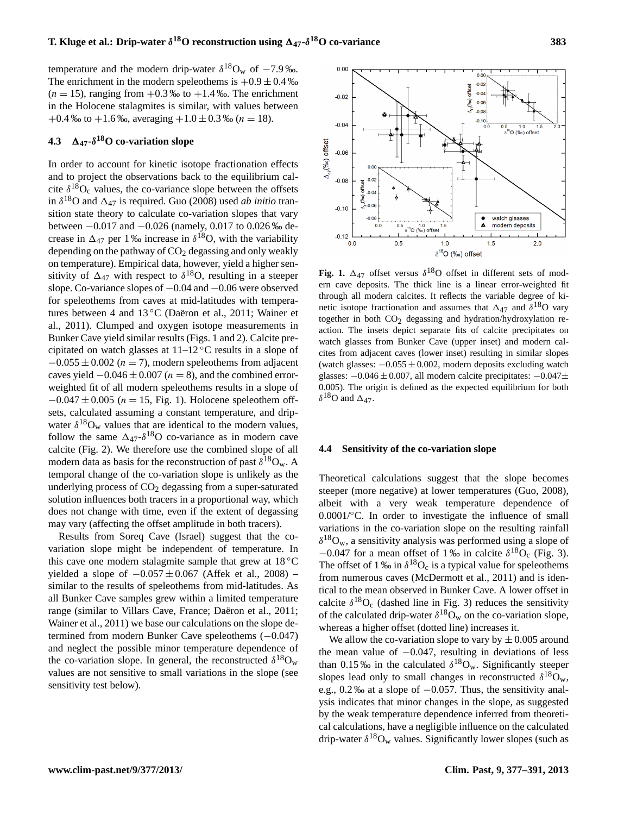temperature and the modern drip-water  $\delta^{18}O_w$  of  $-7.9$ %. The enrichment in the modern speleothems is  $+0.9 \pm 0.4$  ‰  $(n = 15)$ , ranging from  $+0.3$  ‰ to  $+1.4$  ‰. The enrichment in the Holocene stalagmites is similar, with values between  $+0.4\%$  to  $+1.6\%$ , averaging  $+1.0\pm0.3\%$  (n = 18).

# **4.3** 1**47-**δ **<sup>18</sup>O co-variation slope**

In order to account for kinetic isotope fractionation effects and to project the observations back to the equilibrium calcite  $\delta^{18}O_c$  values, the co-variance slope between the offsets in  $\delta^{18}$ O and  $\Delta_{47}$  is required. Guo (2008) used *ab initio* transition state theory to calculate co-variation slopes that vary between −0.017 and −0.026 (namely, 0.017 to 0.026 ‰ decrease in  $\Delta_{47}$  per 1 ‰ increase in  $\delta^{18}$ O, with the variability depending on the pathway of  $CO<sub>2</sub>$  degassing and only weakly on temperature). Empirical data, however, yield a higher sensitivity of  $\Delta_{47}$  with respect to  $\delta^{18}$ O, resulting in a steeper slope. Co-variance slopes of −0.04 and −0.06 were observed for speleothems from caves at mid-latitudes with temperatures between 4 and 13 °C (Daëron et al., 2011; Wainer et al., 2011). Clumped and oxygen isotope measurements in Bunker Cave yield similar results (Figs. 1 and 2). Calcite precipitated on watch glasses at  $11-12$  °C results in a slope of  $-0.055 \pm 0.002$  (n = 7), modern speleothems from adjacent caves yield  $-0.046 \pm 0.007$  ( $n = 8$ ), and the combined errorweighted fit of all modern speleothems results in a slope of  $-0.047 \pm 0.005$  (n = 15, Fig. 1). Holocene speleothem offsets, calculated assuming a constant temperature, and dripwater  $\delta^{18}O_w$  values that are identical to the modern values, follow the same  $\Delta_{47}$ - $\delta^{18}$ O co-variance as in modern cave calcite (Fig. 2). We therefore use the combined slope of all modern data as basis for the reconstruction of past  $\delta^{18}O_w$ . A temporal change of the co-variation slope is unlikely as the underlying process of  $CO<sub>2</sub>$  degassing from a super-saturated solution influences both tracers in a proportional way, which does not change with time, even if the extent of degassing may vary (affecting the offset amplitude in both tracers).

Results from Soreq Cave (Israel) suggest that the covariation slope might be independent of temperature. In this cave one modern stalagmite sample that grew at  $18\degree\text{C}$ yielded a slope of  $-0.057 \pm 0.067$  (Affek et al., 2008) – similar to the results of speleothems from mid-latitudes. As all Bunker Cave samples grew within a limited temperature range (similar to Villars Cave, France; Daëron et al., 2011; Wainer et al., 2011) we base our calculations on the slope determined from modern Bunker Cave speleothems (−0.047) and neglect the possible minor temperature dependence of the co-variation slope. In general, the reconstructed  $\delta^{18}O_w$ values are not sensitive to small variations in the slope (see sensitivity test below).



Fig. 1.  $\Delta_{47}$  offset versus  $\delta^{18}$ O offset in different sets of modern cave deposits. The thick line is a linear error-weighted fit through all modern calcites. It reflects the variable degree of kinetic isotope fractionation and assumes that  $\Delta_{47}$  and  $\delta^{18}$ O vary together in both  $CO<sub>2</sub>$  degassing and hydration/hydroxylation reaction. The insets depict separate fits of calcite precipitates on watch glasses from Bunker Cave (upper inset) and modern calcites from adjacent caves (lower inset) resulting in similar slopes (watch glasses:  $-0.055 \pm 0.002$ , modern deposits excluding watch glasses: −0.046 ± 0.007, all modern calcite precipitates: −0.047± 0.005). The origin is defined as the expected equilibrium for both  $\delta^{18}$ O and  $\Delta_{47}$ .

#### **4.4 Sensitivity of the co-variation slope**

Theoretical calculations suggest that the slope becomes steeper (more negative) at lower temperatures (Guo, 2008), albeit with a very weak temperature dependence of 0.0001/◦C. In order to investigate the influence of small variations in the co-variation slope on the resulting rainfall  $\delta^{18}O_w$ , a sensitivity analysis was performed using a slope of  $-0.047$  for a mean offset of 1‰ in calcite  $\delta^{18}O_c$  (Fig. 3). The offset of 1 ‰ in  $\delta^{18}O_c$  is a typical value for speleothems from numerous caves (McDermott et al., 2011) and is identical to the mean observed in Bunker Cave. A lower offset in calcite  $\delta^{18}O_c$  (dashed line in Fig. 3) reduces the sensitivity of the calculated drip-water  $\delta^{18}O_w$  on the co-variation slope, whereas a higher offset (dotted line) increases it.

We allow the co-variation slope to vary by  $\pm 0.005$  around the mean value of  $-0.047$ , resulting in deviations of less than 0.15 ‰ in the calculated  $\delta^{18}O_w$ . Significantly steeper slopes lead only to small changes in reconstructed  $\delta^{18}O_w$ , e.g., 0.2 ‰ at a slope of −0.057. Thus, the sensitivity analysis indicates that minor changes in the slope, as suggested by the weak temperature dependence inferred from theoretical calculations, have a negligible influence on the calculated drip-water  $\delta^{18}O_w$  values. Significantly lower slopes (such as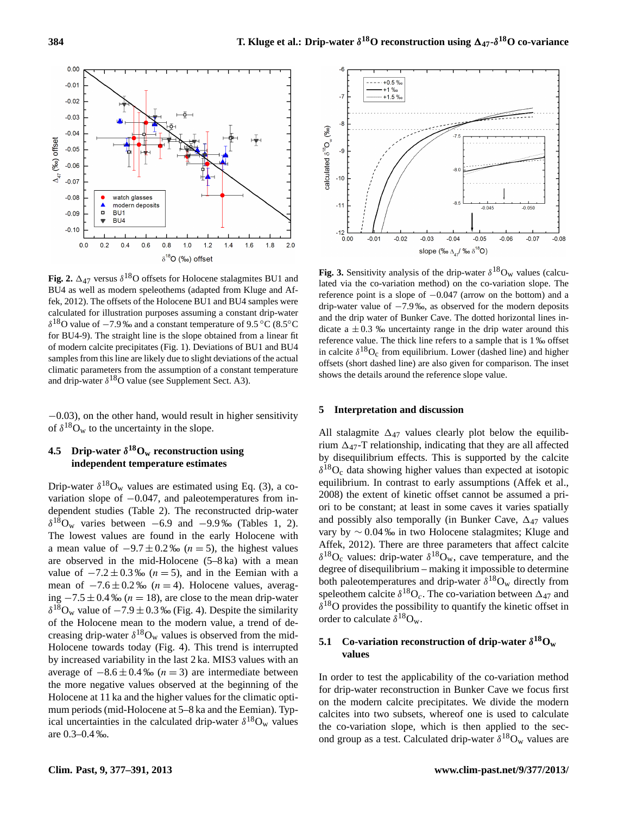

**Fig. 2.**  $\Delta_{47}$  versus  $\delta^{18}$ O offsets for Holocene stalagmites BU1 and BU4 as well as modern speleothems (adapted from Kluge and Affek, 2012). The offsets of the Holocene BU1 and BU4 samples were calculated for illustration purposes assuming a constant drip-water  $\delta^{18}$ O value of −7.9 ‰ and a constant temperature of 9.5 °C (8.5°C for BU4-9). The straight line is the slope obtained from a linear fit of modern calcite precipitates (Fig. 1). Deviations of BU1 and BU4 samples from this line are likely due to slight deviations of the actual climatic parameters from the assumption of a constant temperature and drip-water  $\delta^{18}O$  value (see Supplement Sect. A3).

−0.03), on the other hand, would result in higher sensitivity of  $\delta^{18}O_w$  to the uncertainty in the slope.

### **4.5 Drip-water** δ **<sup>18</sup>O<sup>w</sup> reconstruction using independent temperature estimates**

Drip-water  $\delta^{18}O_w$  values are estimated using Eq. (3), a covariation slope of −0.047, and paleotemperatures from independent studies (Table 2). The reconstructed drip-water  $\delta^{18}$ O<sub>w</sub> varies between −6.9 and −9.9‰ (Tables 1, 2). The lowest values are found in the early Holocene with a mean value of  $-9.7 \pm 0.2$  ‰ ( $n = 5$ ), the highest values are observed in the mid-Holocene (5–8 ka) with a mean value of  $-7.2 \pm 0.3$  ‰ ( $n = 5$ ), and in the Eemian with a mean of  $-7.6 \pm 0.2\%$  (n = 4). Holocene values, averaging  $-7.5 \pm 0.4$  ‰ ( $n = 18$ ), are close to the mean drip-water  $\delta^{18}O_w$  value of  $-7.9 \pm 0.3$  ‰ (Fig. 4). Despite the similarity of the Holocene mean to the modern value, a trend of decreasing drip-water  $\delta^{18}O_w$  values is observed from the mid-Holocene towards today (Fig. 4). This trend is interrupted by increased variability in the last 2 ka. MIS3 values with an average of  $-8.6 \pm 0.4$  ‰ ( $n = 3$ ) are intermediate between the more negative values observed at the beginning of the Holocene at 11 ka and the higher values for the climatic optimum periods (mid-Holocene at 5–8 ka and the Eemian). Typical uncertainties in the calculated drip-water  $\delta^{18}O_w$  values are 0.3–0.4 ‰.



**Fig. 3.** Sensitivity analysis of the drip-water  $\delta^{18}O_w$  values (calculated via the co-variation method) on the co-variation slope. The reference point is a slope of −0.047 (arrow on the bottom) and a drip-water value of −7.9 ‰, as observed for the modern deposits and the drip water of Bunker Cave. The dotted horizontal lines indicate a  $\pm 0.3$  ‰ uncertainty range in the drip water around this reference value. The thick line refers to a sample that is 1 ‰ offset in calcite  $\delta^{18}O_c$  from equilibrium. Lower (dashed line) and higher offsets (short dashed line) are also given for comparison. The inset shows the details around the reference slope value.

#### **5 Interpretation and discussion**

All stalagmite  $\Delta_{47}$  values clearly plot below the equilibrium  $\Delta_{47}$ -T relationship, indicating that they are all affected by disequilibrium effects. This is supported by the calcite  $\delta^{18}O_c$  data showing higher values than expected at isotopic equilibrium. In contrast to early assumptions (Affek et al., 2008) the extent of kinetic offset cannot be assumed a priori to be constant; at least in some caves it varies spatially and possibly also temporally (in Bunker Cave,  $\Delta_{47}$  values vary by ∼ 0.04 ‰ in two Holocene stalagmites; Kluge and Affek, 2012). There are three parameters that affect calcite  $\delta^{18}O_c$  values: drip-water  $\delta^{18}O_w$ , cave temperature, and the degree of disequilibrium – making it impossible to determine both paleotemperatures and drip-water  $\delta^{18}O_w$  directly from speleothem calcite  $\delta^{18}O_c$ . The co-variation between  $\Delta_{47}$  and  $\delta^{18}$ O provides the possibility to quantify the kinetic offset in order to calculate  $\delta^{18}O_w$ .

### **5.1** Co-variation reconstruction of drip-water  $\delta^{18}$ O<sub>w</sub> **values**

In order to test the applicability of the co-variation method for drip-water reconstruction in Bunker Cave we focus first on the modern calcite precipitates. We divide the modern calcites into two subsets, whereof one is used to calculate the co-variation slope, which is then applied to the second group as a test. Calculated drip-water  $\delta^{18}O_w$  values are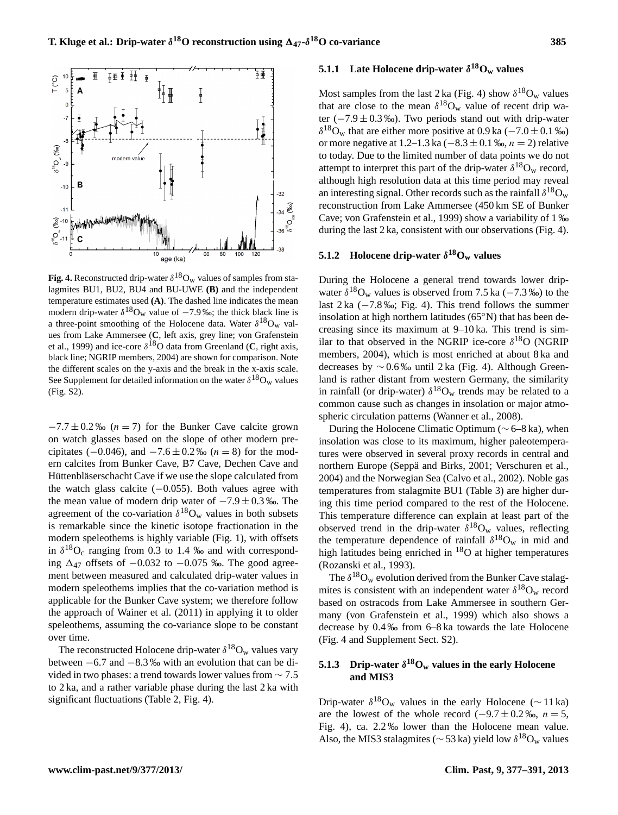

**Fig. 4.** Reconstructed drip-water  $\delta^{18}O_w$  values of samples from stalagmites BU1, BU2, BU4 and BU-UWE **(B)** and the independent temperature estimates used **(A)**. The dashed line indicates the mean modern drip-water  $\delta^{18}O_w$  value of  $-7.9$  ‰; the thick black line is a three-point smoothing of the Holocene data. Water  $\delta^{18}O_w$  values from Lake Ammersee (**C**, left axis, grey line; von Grafenstein et al., 1999) and ice-core  $\delta^{18}$ O data from Greenland (C, right axis, black line; NGRIP members, 2004) are shown for comparison. Note the different scales on the y-axis and the break in the x-axis scale. See Supplement for detailed information on the water  $\delta^{18}O_w$  values (Fig. S2).

 $-7.7 \pm 0.2$  ‰ (n = 7) for the Bunker Cave calcite grown on watch glasses based on the slope of other modern precipitates (−0.046), and  $-7.6 \pm 0.2$  ‰ (n = 8) for the modern calcites from Bunker Cave, B7 Cave, Dechen Cave and Hüttenbläserschacht Cave if we use the slope calculated from the watch glass calcite  $(-0.055)$ . Both values agree with the mean value of modern drip water of  $-7.9 \pm 0.3$  ‰. The agreement of the co-variation  $\delta^{18}O_w$  values in both subsets is remarkable since the kinetic isotope fractionation in the modern speleothems is highly variable (Fig. 1), with offsets in  $\delta^{18}O_c$  ranging from 0.3 to 1.4 ‰ and with corresponding  $\Delta_{47}$  offsets of  $-0.032$  to  $-0.075$  ‰. The good agreement between measured and calculated drip-water values in modern speleothems implies that the co-variation method is applicable for the Bunker Cave system; we therefore follow the approach of Wainer et al. (2011) in applying it to older speleothems, assuming the co-variance slope to be constant over time.

The reconstructed Holocene drip-water  $\delta^{18}O_w$  values vary between −6.7 and −8.3 ‰ with an evolution that can be divided in two phases: a trend towards lower values from ∼ 7.5 to 2 ka, and a rather variable phase during the last 2 ka with significant fluctuations (Table 2, Fig. 4).

# **5.1.1** Late Holocene drip-water  $\delta^{18}O_w$  values

Most samples from the last 2 ka (Fig. 4) show  $\delta^{18}O_w$  values that are close to the mean  $\delta^{18}O_w$  value of recent drip water  $(-7.9 \pm 0.3 \%)$ . Two periods stand out with drip-water  $\delta^{18}O_w$  that are either more positive at 0.9 ka (-7.0 ± 0.1 ‰) or more negative at 1.2–1.3 ka (−8.3 ± 0.1 ‰,  $n = 2$ ) relative to today. Due to the limited number of data points we do not attempt to interpret this part of the drip-water  $\delta^{18}O_w$  record, although high resolution data at this time period may reveal an interesting signal. Other records such as the rainfall  $\delta^{18}O_w$ reconstruction from Lake Ammersee (450 km SE of Bunker Cave; von Grafenstein et al., 1999) show a variability of 1 ‰ during the last 2 ka, consistent with our observations (Fig. 4).

# **5.1.2 Holocene drip-water**  $\delta^{18}$ **O**<sub>**w**</sub> **values**

During the Holocene a general trend towards lower dripwater  $\delta^{18}O_w$  values is observed from 7.5 ka (-7.3 ‰) to the last 2 ka (−7.8 ‰; Fig. 4). This trend follows the summer insolation at high northern latitudes (65◦N) that has been decreasing since its maximum at 9–10 ka. This trend is similar to that observed in the NGRIP ice-core  $\delta^{18}O$  (NGRIP members, 2004), which is most enriched at about 8 ka and decreases by ∼ 0.6 ‰ until 2 ka (Fig. 4). Although Greenland is rather distant from western Germany, the similarity in rainfall (or drip-water)  $\delta^{18}O_w$  trends may be related to a common cause such as changes in insolation or major atmospheric circulation patterns (Wanner et al., 2008).

During the Holocene Climatic Optimum (∼ 6–8 ka), when insolation was close to its maximum, higher paleotemperatures were observed in several proxy records in central and northern Europe (Seppä and Birks, 2001; Verschuren et al., 2004) and the Norwegian Sea (Calvo et al., 2002). Noble gas temperatures from stalagmite BU1 (Table 3) are higher during this time period compared to the rest of the Holocene. This temperature difference can explain at least part of the observed trend in the drip-water  $\delta^{18}O_w$  values, reflecting the temperature dependence of rainfall  $\delta^{18}O_w$  in mid and high latitudes being enriched in <sup>18</sup>O at higher temperatures (Rozanski et al., 1993).

The  $\delta^{18}O_w$  evolution derived from the Bunker Cave stalagmites is consistent with an independent water  $\delta^{18}O_w$  record based on ostracods from Lake Ammersee in southern Germany (von Grafenstein et al., 1999) which also shows a decrease by 0.4 ‰ from 6–8 ka towards the late Holocene (Fig. 4 and Supplement Sect. S2).

### **5.1.3** Drip-water  $\delta^{18}O_w$  values in the early Holocene **and MIS3**

Drip-water  $\delta^{18}O_w$  values in the early Holocene (~11 ka) are the lowest of the whole record  $(-9.7 \pm 0.2 \text{ %}$ ,  $n = 5$ , Fig. 4), ca. 2.2 ‰ lower than the Holocene mean value. Also, the MIS3 stalagmites ( $\sim$  53 ka) yield low  $\delta^{18}$ O<sub>w</sub> values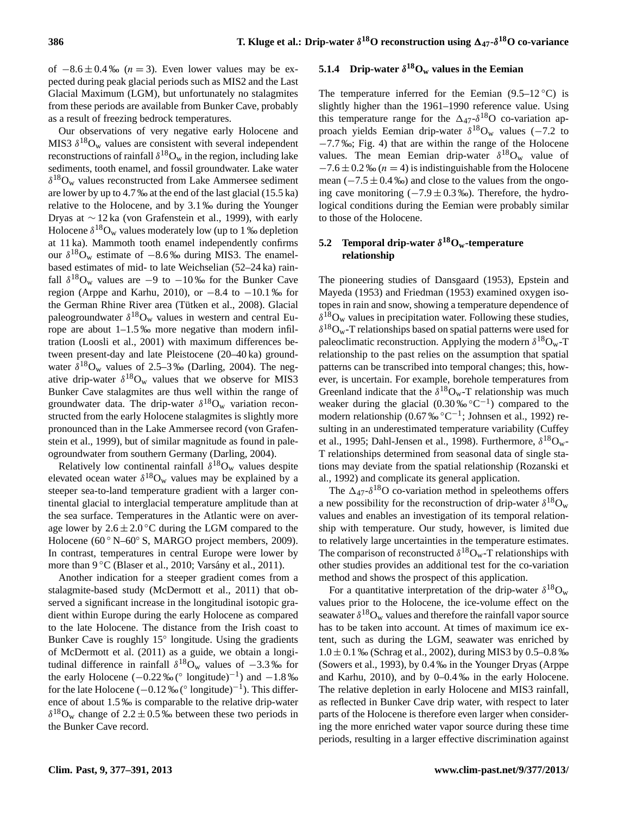of  $-8.6 \pm 0.4$  ‰ ( $n = 3$ ). Even lower values may be expected during peak glacial periods such as MIS2 and the Last Glacial Maximum (LGM), but unfortunately no stalagmites from these periods are available from Bunker Cave, probably as a result of freezing bedrock temperatures.

Our observations of very negative early Holocene and MIS3  $\delta^{18}O_w$  values are consistent with several independent reconstructions of rainfall  $\delta^{18} \text{O}_w$  in the region, including lake sediments, tooth enamel, and fossil groundwater. Lake water  $\delta^{18}O_w$  values reconstructed from Lake Ammersee sediment are lower by up to 4.7 ‰ at the end of the last glacial (15.5 ka) relative to the Holocene, and by 3.1 ‰ during the Younger Dryas at ∼ 12 ka (von Grafenstein et al., 1999), with early Holocene  $\delta^{18}O_w$  values moderately low (up to 1 ‰ depletion at 11 ka). Mammoth tooth enamel independently confirms our  $\delta^{18}O_w$  estimate of  $-8.6\%$  during MIS3. The enamelbased estimates of mid- to late Weichselian (52–24 ka) rainfall  $\delta^{18}O_w$  values are  $-9$  to  $-10\%$  for the Bunker Cave region (Arppe and Karhu, 2010), or  $-8.4$  to  $-10.1$  ‰ for the German Rhine River area (Tütken et al., 2008). Glacial paleogroundwater  $\delta^{18}O_w$  values in western and central Europe are about 1–1.5 ‰ more negative than modern infiltration (Loosli et al., 2001) with maximum differences between present-day and late Pleistocene (20–40 ka) groundwater  $\delta^{18}O_w$  values of 2.5–3‰ (Darling, 2004). The negative drip-water  $\delta^{18}O_w$  values that we observe for MIS3 Bunker Cave stalagmites are thus well within the range of groundwater data. The drip-water  $\delta^{18}O_w$  variation reconstructed from the early Holocene stalagmites is slightly more pronounced than in the Lake Ammersee record (von Grafenstein et al., 1999), but of similar magnitude as found in paleogroundwater from southern Germany (Darling, 2004).

Relatively low continental rainfall  $\delta^{18}O_w$  values despite elevated ocean water  $\delta^{18}O_w$  values may be explained by a steeper sea-to-land temperature gradient with a larger continental glacial to interglacial temperature amplitude than at the sea surface. Temperatures in the Atlantic were on average lower by  $2.6 \pm 2.0$  °C during the LGM compared to the Holocene (60 ° N–60° S, MARGO project members, 2009). In contrast, temperatures in central Europe were lower by more than 9 °C (Blaser et al., 2010; Varsány et al., 2011).

Another indication for a steeper gradient comes from a stalagmite-based study (McDermott et al., 2011) that observed a significant increase in the longitudinal isotopic gradient within Europe during the early Holocene as compared to the late Holocene. The distance from the Irish coast to Bunker Cave is roughly 15° longitude. Using the gradients of McDermott et al. (2011) as a guide, we obtain a longitudinal difference in rainfall  $\delta^{18}O_w$  values of  $-3.3\%$  for the early Holocene  $(-0.22\% (° \text{ longitude})^{-1})$  and  $-1.8\%$ for the late Holocene ( $-0.12\%$  (° longitude)<sup>-1</sup>). This difference of about 1.5 ‰ is comparable to the relative drip-water  $\delta^{18}O_w$  change of 2.2  $\pm$  0.5 ‰ between these two periods in the Bunker Cave record.

# **5.1.4** Drip-water  $\delta^{18}O_w$  values in the Eemian

The temperature inferred for the Eemian  $(9.5-12 \degree C)$  is slightly higher than the 1961–1990 reference value. Using this temperature range for the  $\Delta_{47}$ - $\delta^{18}$ O co-variation approach yields Eemian drip-water  $\delta^{18}$ O<sub>w</sub> values (-7.2 to −7.7 ‰; Fig. 4) that are within the range of the Holocene values. The mean Eemian drip-water  $\delta^{18}O_w$  value of  $-7.6 \pm 0.2$  ‰ ( $n = 4$ ) is indistinguishable from the Holocene mean  $(-7.5 \pm 0.4 \%)$  and close to the values from the ongoing cave monitoring  $(-7.9 \pm 0.3 \degree \omega)$ . Therefore, the hydrological conditions during the Eemian were probably similar to those of the Holocene.

### **5.2 Temporal drip-water** δ **<sup>18</sup>Ow-temperature relationship**

The pioneering studies of Dansgaard (1953), Epstein and Mayeda (1953) and Friedman (1953) examined oxygen isotopes in rain and snow, showing a temperature dependence of  $\delta^{18}$ O<sub>w</sub> values in precipitation water. Following these studies,  $\delta^{18}O_w$ -T relationships based on spatial patterns were used for paleoclimatic reconstruction. Applying the modern  $\delta^{18}O_w$ -T relationship to the past relies on the assumption that spatial patterns can be transcribed into temporal changes; this, however, is uncertain. For example, borehole temperatures from Greenland indicate that the  $\delta^{18}O_w$ -T relationship was much weaker during the glacial  $(0.30\%°C^{-1})$  compared to the modern relationship (0.67‰ °C<sup>-1</sup>; Johnsen et al., 1992) resulting in an underestimated temperature variability (Cuffey et al., 1995; Dahl-Jensen et al., 1998). Furthermore,  $\delta^{18}O_{w}$ -T relationships determined from seasonal data of single stations may deviate from the spatial relationship (Rozanski et al., 1992) and complicate its general application.

The  $\Delta_{47}$ - $\delta^{18}$ O co-variation method in speleothems offers a new possibility for the reconstruction of drip-water  $\delta^{18}O_w$ values and enables an investigation of its temporal relationship with temperature. Our study, however, is limited due to relatively large uncertainties in the temperature estimates. The comparison of reconstructed  $\delta^{18}O_w$ -T relationships with other studies provides an additional test for the co-variation method and shows the prospect of this application.

For a quantitative interpretation of the drip-water  $\delta^{18}O_w$ values prior to the Holocene, the ice-volume effect on the seawater  $\delta^{18}O_w$  values and therefore the rainfall vapor source has to be taken into account. At times of maximum ice extent, such as during the LGM, seawater was enriched by  $1.0 \pm 0.1$  ‰ (Schrag et al., 2002), during MIS3 by 0.5–0.8 ‰ (Sowers et al., 1993), by 0.4 ‰ in the Younger Dryas (Arppe and Karhu, 2010), and by 0–0.4 ‰ in the early Holocene. The relative depletion in early Holocene and MIS3 rainfall, as reflected in Bunker Cave drip water, with respect to later parts of the Holocene is therefore even larger when considering the more enriched water vapor source during these time periods, resulting in a larger effective discrimination against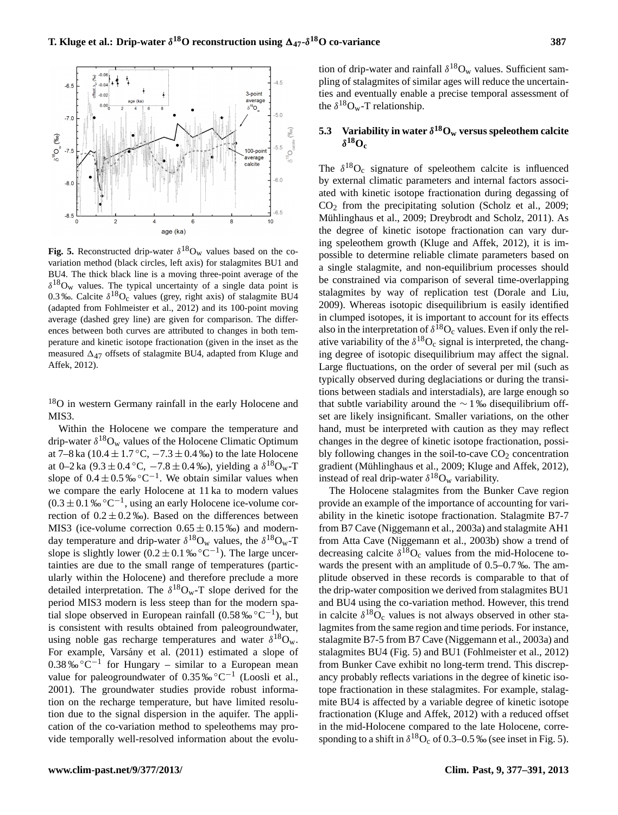

**Fig. 5.** Reconstructed drip-water  $\delta^{18}O_w$  values based on the covariation method (black circles, left axis) for stalagmites BU1 and BU4. The thick black line is a moving three-point average of the  $\delta^{18}O_w$  values. The typical uncertainty of a single data point is 0.3 ‰. Calcite  $\delta^{18}O_c$  values (grey, right axis) of stalagmite BU4 (adapted from Fohlmeister et al., 2012) and its 100-point moving average (dashed grey line) are given for comparison. The differences between both curves are attributed to changes in both temperature and kinetic isotope fractionation (given in the inset as the measured  $\Delta_{47}$  offsets of stalagmite BU4, adapted from Kluge and Affek, 2012).

<sup>18</sup>O in western Germany rainfall in the early Holocene and MIS3.

Within the Holocene we compare the temperature and drip-water  $\delta^{18}O_w$  values of the Holocene Climatic Optimum at 7–8 ka (10.4  $\pm$  1.7 °C,  $-7.3 \pm 0.4$  ‰) to the late Holocene at 0–2 ka  $(9.3 \pm 0.4 \degree C, -7.8 \pm 0.4 \degree \degree o)$ , yielding a  $\delta^{18}O_w$ -T slope of  $0.4 \pm 0.5\% \degree C^{-1}$ . We obtain similar values when we compare the early Holocene at 11 ka to modern values  $(0.3 \pm 0.1\% \,^{\circ} \text{C}^{-1})$ , using an early Holocene ice-volume correction of  $0.2 \pm 0.2$ %). Based on the differences between MIS3 (ice-volume correction  $0.65 \pm 0.15\%$ ) and modernday temperature and drip-water  $\delta^{18}O_w$  values, the  $\delta^{18}O_w$ -T slope is slightly lower  $(0.2 \pm 0.1 \% \degree C^{-1})$ . The large uncertainties are due to the small range of temperatures (particularly within the Holocene) and therefore preclude a more detailed interpretation. The  $\delta^{18}O_w$ -T slope derived for the period MIS3 modern is less steep than for the modern spatial slope observed in European rainfall  $(0.58\%°^{\circ}C^{-1})$ , but is consistent with results obtained from paleogroundwater, using noble gas recharge temperatures and water  $\delta^{18}O_w$ . For example, Varsány et al. (2011) estimated a slope of  $0.38\% \,^{\circ}C^{-1}$  for Hungary – similar to a European mean value for paleogroundwater of  $0.35\% \,^{\circ}C^{-1}$  (Loosli et al., 2001). The groundwater studies provide robust information on the recharge temperature, but have limited resolution due to the signal dispersion in the aquifer. The application of the co-variation method to speleothems may provide temporally well-resolved information about the evolu-

tion of drip-water and rainfall  $\delta^{18}O_w$  values. Sufficient sampling of stalagmites of similar ages will reduce the uncertainties and eventually enable a precise temporal assessment of the  $\delta^{18}O_w$ -T relationship.

### **5.3** Variability in water  $\delta^{18}$ O<sub>w</sub> versus speleothem calcite  $\delta^{18}$ **Oc**

The  $\delta^{18}O_c$  signature of speleothem calcite is influenced by external climatic parameters and internal factors associated with kinetic isotope fractionation during degassing of  $CO<sub>2</sub>$  from the precipitating solution (Scholz et al., 2009; Mühlinghaus et al., 2009; Dreybrodt and Scholz, 2011). As the degree of kinetic isotope fractionation can vary during speleothem growth (Kluge and Affek, 2012), it is impossible to determine reliable climate parameters based on a single stalagmite, and non-equilibrium processes should be constrained via comparison of several time-overlapping stalagmites by way of replication test (Dorale and Liu, 2009). Whereas isotopic disequilibrium is easily identified in clumped isotopes, it is important to account for its effects also in the interpretation of  $\delta^{18}O_c$  values. Even if only the relative variability of the  $\delta^{18}O_c$  signal is interpreted, the changing degree of isotopic disequilibrium may affect the signal. Large fluctuations, on the order of several per mil (such as typically observed during deglaciations or during the transitions between stadials and interstadials), are large enough so that subtle variability around the  $\sim$  1‰ disequilibrium offset are likely insignificant. Smaller variations, on the other hand, must be interpreted with caution as they may reflect changes in the degree of kinetic isotope fractionation, possibly following changes in the soil-to-cave  $CO<sub>2</sub>$  concentration gradient (Mühlinghaus et al., 2009; Kluge and Affek, 2012), instead of real drip-water  $\delta^{18}O_w$  variability.

The Holocene stalagmites from the Bunker Cave region provide an example of the importance of accounting for variability in the kinetic isotope fractionation. Stalagmite B7-7 from B7 Cave (Niggemann et al., 2003a) and stalagmite AH1 from Atta Cave (Niggemann et al., 2003b) show a trend of decreasing calcite  $\delta^{18}O_c$  values from the mid-Holocene towards the present with an amplitude of 0.5–0.7 ‰. The amplitude observed in these records is comparable to that of the drip-water composition we derived from stalagmites BU1 and BU4 using the co-variation method. However, this trend in calcite  $\delta^{18}O_c$  values is not always observed in other stalagmites from the same region and time periods. For instance, stalagmite B7-5 from B7 Cave (Niggemann et al., 2003a) and stalagmites BU4 (Fig. 5) and BU1 (Fohlmeister et al., 2012) from Bunker Cave exhibit no long-term trend. This discrepancy probably reflects variations in the degree of kinetic isotope fractionation in these stalagmites. For example, stalagmite BU4 is affected by a variable degree of kinetic isotope fractionation (Kluge and Affek, 2012) with a reduced offset in the mid-Holocene compared to the late Holocene, corresponding to a shift in  $\delta^{18}O_c$  of 0.3–0.5 ‰ (see inset in Fig. 5).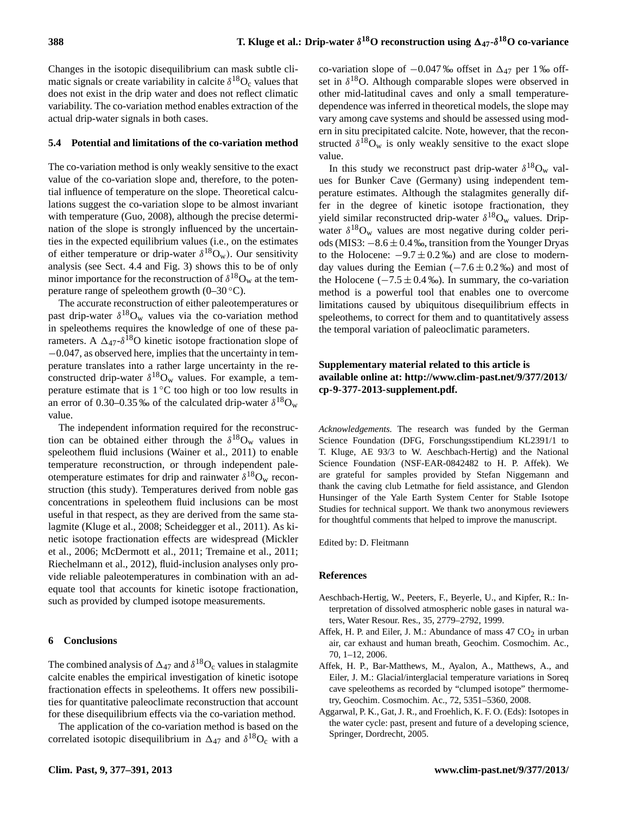co-variation slope of  $-0.047$  ‰ offset in  $\Delta_{47}$  per 1 ‰ offset in  $\delta^{18}$ O. Although comparable slopes were observed in other mid-latitudinal caves and only a small temperaturedependence was inferred in theoretical models, the slope may vary among cave systems and should be assessed using modern in situ precipitated calcite. Note, however, that the reconstructed  $\delta^{18}O_w$  is only weakly sensitive to the exact slope

In this study we reconstruct past drip-water  $\delta^{18}O_w$  values for Bunker Cave (Germany) using independent temperature estimates. Although the stalagmites generally dif-

Changes in the isotopic disequilibrium can mask subtle climatic signals or create variability in calcite  $\delta^{18}O_c$  values that does not exist in the drip water and does not reflect climatic variability. The co-variation method enables extraction of the actual drip-water signals in both cases.

#### **5.4 Potential and limitations of the co-variation method**

The co-variation method is only weakly sensitive to the exact value of the co-variation slope and, therefore, to the potential influence of temperature on the slope. Theoretical calculations suggest the co-variation slope to be almost invariant with temperature (Guo, 2008), although the precise determination of the slope is strongly influenced by the uncertainties in the expected equilibrium values (i.e., on the estimates of either temperature or drip-water  $\delta^{18}O_w$ ). Our sensitivity analysis (see Sect. 4.4 and Fig. 3) shows this to be of only minor importance for the reconstruction of  $\delta^{18}O_w$  at the temperature range of speleothem growth  $(0-30\degree C)$ .

The accurate reconstruction of either paleotemperatures or past drip-water  $\delta^{18}O_w$  values via the co-variation method in speleothems requires the knowledge of one of these parameters. A  $\Delta_{47}$ - $\delta^{18}$ O kinetic isotope fractionation slope of −0.047, as observed here, implies that the uncertainty in temperature translates into a rather large uncertainty in the reconstructed drip-water  $\delta^{18}O_w$  values. For example, a temperature estimate that is  $1\,^{\circ}\mathrm{C}$  too high or too low results in an error of 0.30–0.35 ‰ of the calculated drip-water  $\delta^{18}O_w$ value.

The independent information required for the reconstruction can be obtained either through the  $\delta^{18}O_w$  values in speleothem fluid inclusions (Wainer et al., 2011) to enable temperature reconstruction, or through independent paleotemperature estimates for drip and rainwater  $\delta^{18}O_w$  reconstruction (this study). Temperatures derived from noble gas concentrations in speleothem fluid inclusions can be most useful in that respect, as they are derived from the same stalagmite (Kluge et al., 2008; Scheidegger et al., 2011). As kinetic isotope fractionation effects are widespread (Mickler et al., 2006; McDermott et al., 2011; Tremaine et al., 2011; Riechelmann et al., 2012), fluid-inclusion analyses only provide reliable paleotemperatures in combination with an adequate tool that accounts for kinetic isotope fractionation, such as provided by clumped isotope measurements.

#### **6 Conclusions**

The combined analysis of  $\Delta_{47}$  and  $\delta^{18}O_c$  values in stalagmite calcite enables the empirical investigation of kinetic isotope fractionation effects in speleothems. It offers new possibilities for quantitative paleoclimate reconstruction that account for these disequilibrium effects via the co-variation method.

The application of the co-variation method is based on the correlated isotopic disequilibrium in  $\Delta_{47}$  and  $\delta^{18}O_c$  with a

fer in the degree of kinetic isotope fractionation, they yield similar reconstructed drip-water  $\delta^{18}O_w$  values. Dripwater  $\delta^{18}O_w$  values are most negative during colder periods (MIS3: −8.6 ± 0.4 ‰, transition from the Younger Dryas to the Holocene:  $-9.7 \pm 0.2$  ‰) and are close to modern-

value.

day values during the Eemian  $(-7.6 \pm 0.2\%)$  and most of the Holocene ( $-7.5 \pm 0.4$  ‰). In summary, the co-variation method is a powerful tool that enables one to overcome limitations caused by ubiquitous disequilibrium effects in speleothems, to correct for them and to quantitatively assess the temporal variation of paleoclimatic parameters.

### **Supplementary material related to this article is available online at: [http://www.clim-past.net/9/377/2013/](http://www.clim-past.net/9/377/2013/cp-9-377-2013-supplement.pdf) [cp-9-377-2013-supplement.pdf.](http://www.clim-past.net/9/377/2013/cp-9-377-2013-supplement.pdf)**

*Acknowledgements.* The research was funded by the German Science Foundation (DFG, Forschungsstipendium KL2391/1 to T. Kluge, AE 93/3 to W. Aeschbach-Hertig) and the National Science Foundation (NSF-EAR-0842482 to H. P. Affek). We are grateful for samples provided by Stefan Niggemann and thank the caving club Letmathe for field assistance, and Glendon Hunsinger of the Yale Earth System Center for Stable Isotope Studies for technical support. We thank two anonymous reviewers for thoughtful comments that helped to improve the manuscript.

Edited by: D. Fleitmann

#### **References**

- Aeschbach-Hertig, W., Peeters, F., Beyerle, U., and Kipfer, R.: Interpretation of dissolved atmospheric noble gases in natural waters, Water Resour. Res., 35, 2779–2792, 1999.
- Affek, H. P. and Eiler, J. M.: Abundance of mass  $47 \text{ CO}_2$  in urban air, car exhaust and human breath, Geochim. Cosmochim. Ac., 70, 1–12, 2006.
- Affek, H. P., Bar-Matthews, M., Ayalon, A., Matthews, A., and Eiler, J. M.: Glacial/interglacial temperature variations in Soreq cave speleothems as recorded by "clumped isotope" thermometry, Geochim. Cosmochim. Ac., 72, 5351–5360, 2008.
- Aggarwal, P. K., Gat, J. R., and Froehlich, K. F. O. (Eds): Isotopes in the water cycle: past, present and future of a developing science, Springer, Dordrecht, 2005.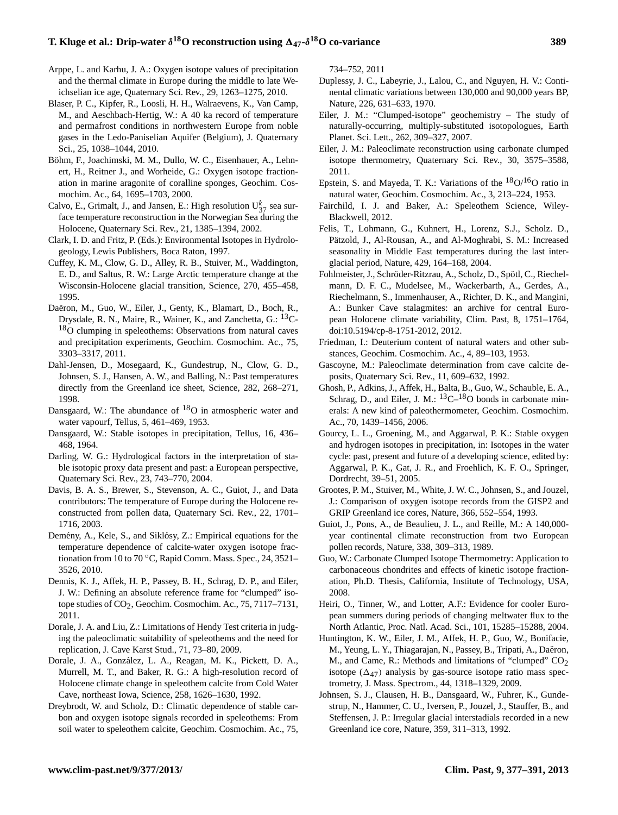# **1. Kluge et al.: Drip-water**  $\delta^{18}$ O reconstruction using  $\Delta_{47}$ - $\delta^{18}$ O co-variance 389

- Arppe, L. and Karhu, J. A.: Oxygen isotope values of precipitation and the thermal climate in Europe during the middle to late Weichselian ice age, Quaternary Sci. Rev., 29, 1263–1275, 2010.
- Blaser, P. C., Kipfer, R., Loosli, H. H., Walraevens, K., Van Camp, M., and Aeschbach-Hertig, W.: A 40 ka record of temperature and permafrost conditions in northwestern Europe from noble gases in the Ledo-Paniselian Aquifer (Belgium), J. Quaternary Sci., 25, 1038–1044, 2010.
- Böhm, F., Joachimski, M. M., Dullo, W. C., Eisenhauer, A., Lehnert, H., Reitner J., and Worheide, G.: Oxygen isotope fractionation in marine aragonite of coralline sponges, Geochim. Cosmochim. Ac., 64, 1695–1703, 2000.
- Calvo, E., Grimalt, J., and Jansen, E.: High resolution  $U_{37}^{k}$  sea surface temperature reconstruction in the Norwegian Sea during the Holocene, Quaternary Sci. Rev., 21, 1385–1394, 2002.
- Clark, I. D. and Fritz, P. (Eds.): Environmental Isotopes in Hydrologeology, Lewis Publishers, Boca Raton, 1997.
- Cuffey, K. M., Clow, G. D., Alley, R. B., Stuiver, M., Waddington, E. D., and Saltus, R. W.: Large Arctic temperature change at the Wisconsin-Holocene glacial transition, Science, 270, 455–458, 1995.
- Daëron, M., Guo, W., Eiler, J., Genty, K., Blamart, D., Boch, R., Drysdale, R. N., Maire, R., Wainer, K., and Zanchetta, G.: <sup>13</sup>C-<sup>18</sup>O clumping in speleothems: Observations from natural caves and precipitation experiments, Geochim. Cosmochim. Ac., 75, 3303–3317, 2011.
- Dahl-Jensen, D., Mosegaard, K., Gundestrup, N., Clow, G. D., Johnsen, S. J., Hansen, A. W., and Balling, N.: Past temperatures directly from the Greenland ice sheet, Science, 282, 268–271, 1998.
- Dansgaard, W.: The abundance of  $^{18}O$  in atmospheric water and water vapourf, Tellus, 5, 461–469, 1953.
- Dansgaard, W.: Stable isotopes in precipitation, Tellus, 16, 436– 468, 1964.
- Darling, W. G.: Hydrological factors in the interpretation of stable isotopic proxy data present and past: a European perspective, Quaternary Sci. Rev., 23, 743–770, 2004.
- Davis, B. A. S., Brewer, S., Stevenson, A. C., Guiot, J., and Data contributors: The temperature of Europe during the Holocene reconstructed from pollen data, Quaternary Sci. Rev., 22, 1701– 1716, 2003.
- Demény, A., Kele, S., and Siklósy, Z.: Empirical equations for the temperature dependence of calcite-water oxygen isotope fractionation from 10 to 70 °C, Rapid Comm. Mass. Spec., 24, 3521– 3526, 2010.
- Dennis, K. J., Affek, H. P., Passey, B. H., Schrag, D. P., and Eiler, J. W.: Defining an absolute reference frame for "clumped" isotope studies of  $CO<sub>2</sub>$ , Geochim. Cosmochim. Ac., 75, 7117–7131, 2011.
- Dorale, J. A. and Liu, Z.: Limitations of Hendy Test criteria in judging the paleoclimatic suitability of speleothems and the need for replication, J. Cave Karst Stud., 71, 73–80, 2009.
- Dorale, J. A., Gonzalez, L. A., Reagan, M. K., Pickett, D. A., ´ Murrell, M. T., and Baker, R. G.: A high-resolution record of Holocene climate change in speleothem calcite from Cold Water Cave, northeast Iowa, Science, 258, 1626–1630, 1992.
- Dreybrodt, W. and Scholz, D.: Climatic dependence of stable carbon and oxygen isotope signals recorded in speleothems: From soil water to speleothem calcite, Geochim. Cosmochim. Ac., 75,

734–752, 2011

- Duplessy, J. C., Labeyrie, J., Lalou, C., and Nguyen, H. V.: Continental climatic variations between 130,000 and 90,000 years BP, Nature, 226, 631–633, 1970.
- Eiler, J. M.: "Clumped-isotope" geochemistry The study of naturally-occurring, multiply-substituted isotopologues, Earth Planet. Sci. Lett., 262, 309–327, 2007.
- Eiler, J. M.: Paleoclimate reconstruction using carbonate clumped isotope thermometry, Quaternary Sci. Rev., 30, 3575–3588, 2011.
- Epstein, S. and Mayeda, T. K.: Variations of the  ${}^{18}O/{}^{16}O$  ratio in natural water, Geochim. Cosmochim. Ac., 3, 213–224, 1953.
- Fairchild, I. J. and Baker, A.: Speleothem Science, Wiley-Blackwell, 2012.
- Felis, T., Lohmann, G., Kuhnert, H., Lorenz, S.J., Scholz. D., Pätzold, J., Al-Rousan, A., and Al-Moghrabi, S. M.: Increased seasonality in Middle East temperatures during the last interglacial period, Nature, 429, 164–168, 2004.
- Fohlmeister, J., Schröder-Ritzrau, A., Scholz, D., Spötl, C., Riechelmann, D. F. C., Mudelsee, M., Wackerbarth, A., Gerdes, A., Riechelmann, S., Immenhauser, A., Richter, D. K., and Mangini, A.: Bunker Cave stalagmites: an archive for central European Holocene climate variability, Clim. Past, 8, 1751–1764, [doi:10.5194/cp-8-1751-2012,](http://dx.doi.org/10.5194/cp-8-1751-2012) 2012.
- Friedman, I.: Deuterium content of natural waters and other substances, Geochim. Cosmochim. Ac., 4, 89–103, 1953.
- Gascoyne, M.: Paleoclimate determination from cave calcite deposits, Quaternary Sci. Rev., 11, 609–632, 1992.
- Ghosh, P., Adkins, J., Affek, H., Balta, B., Guo, W., Schauble, E. A., Schrag, D., and Eiler, J. M.:  $^{13}C-^{18}O$  bonds in carbonate minerals: A new kind of paleothermometer, Geochim. Cosmochim. Ac., 70, 1439–1456, 2006.
- Gourcy, L. L., Groening, M., and Aggarwal, P. K.: Stable oxygen and hydrogen isotopes in precipitation, in: Isotopes in the water cycle: past, present and future of a developing science, edited by: Aggarwal, P. K., Gat, J. R., and Froehlich, K. F. O., Springer, Dordrecht, 39–51, 2005.
- Grootes, P. M., Stuiver, M., White, J. W. C., Johnsen, S., and Jouzel, J.: Comparison of oxygen isotope records from the GISP2 and GRIP Greenland ice cores, Nature, 366, 552–554, 1993.
- Guiot, J., Pons, A., de Beaulieu, J. L., and Reille, M.: A 140,000 year continental climate reconstruction from two European pollen records, Nature, 338, 309–313, 1989.
- Guo, W.: Carbonate Clumped Isotope Thermometry: Application to carbonaceous chondrites and effects of kinetic isotope fractionation, Ph.D. Thesis, California, Institute of Technology, USA, 2008.
- Heiri, O., Tinner, W., and Lotter, A.F.: Evidence for cooler European summers during periods of changing meltwater flux to the North Atlantic, Proc. Natl. Acad. Sci., 101, 15285–15288, 2004.
- Huntington, K. W., Eiler, J. M., Affek, H. P., Guo, W., Bonifacie, M., Yeung, L. Y., Thiagarajan, N., Passey, B., Tripati, A., Daëron, M., and Came, R.: Methods and limitations of "clumped" CO<sub>2</sub> isotope  $(\Delta_{47})$  analysis by gas-source isotope ratio mass spectrometry, J. Mass. Spectrom., 44, 1318–1329, 2009.
- Johnsen, S. J., Clausen, H. B., Dansgaard, W., Fuhrer, K., Gundestrup, N., Hammer, C. U., Iversen, P., Jouzel, J., Stauffer, B., and Steffensen, J. P.: Irregular glacial interstadials recorded in a new Greenland ice core, Nature, 359, 311–313, 1992.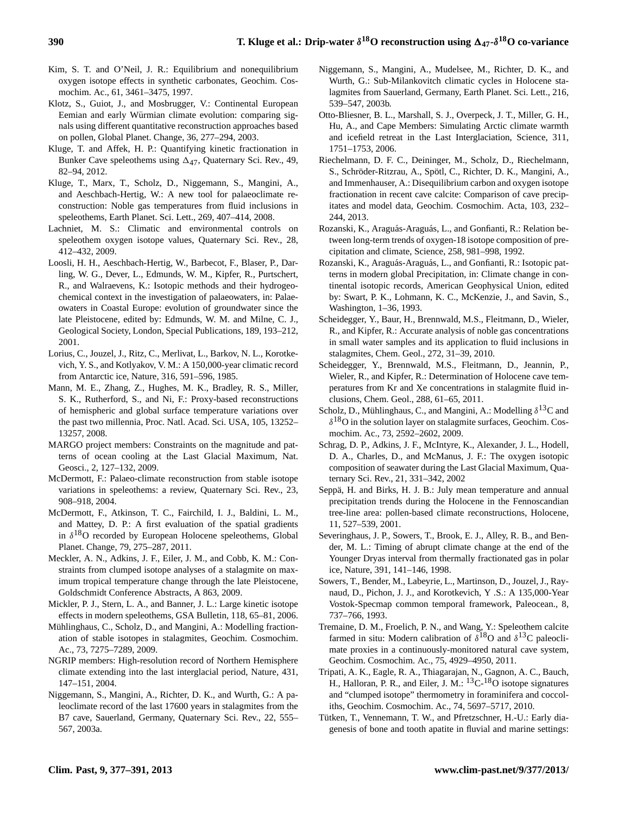- Kim, S. T. and O'Neil, J. R.: Equilibrium and nonequilibrium oxygen isotope effects in synthetic carbonates, Geochim. Cosmochim. Ac., 61, 3461–3475, 1997.
- Klotz, S., Guiot, J., and Mosbrugger, V.: Continental European Eemian and early Würmian climate evolution: comparing signals using different quantitative reconstruction approaches based on pollen, Global Planet. Change, 36, 277–294, 2003.
- Kluge, T. and Affek, H. P.: Quantifying kinetic fractionation in Bunker Cave speleothems using  $\Delta_{47}$ , Quaternary Sci. Rev., 49, 82–94, 2012.
- Kluge, T., Marx, T., Scholz, D., Niggemann, S., Mangini, A., and Aeschbach-Hertig, W.: A new tool for palaeoclimate reconstruction: Noble gas temperatures from fluid inclusions in speleothems, Earth Planet. Sci. Lett., 269, 407–414, 2008.
- Lachniet, M. S.: Climatic and environmental controls on speleothem oxygen isotope values, Quaternary Sci. Rev., 28, 412–432, 2009.
- Loosli, H. H., Aeschbach-Hertig, W., Barbecot, F., Blaser, P., Darling, W. G., Dever, L., Edmunds, W. M., Kipfer, R., Purtschert, R., and Walraevens, K.: Isotopic methods and their hydrogeochemical context in the investigation of palaeowaters, in: Palaeowaters in Coastal Europe: evolution of groundwater since the late Pleistocene, edited by: Edmunds, W. M. and Milne, C. J., Geological Society, London, Special Publications, 189, 193–212, 2001.
- Lorius, C., Jouzel, J., Ritz, C., Merlivat, L., Barkov, N. L., Korotkevich, Y. S., and Kotlyakov, V. M.: A 150,000-year climatic record from Antarctic ice, Nature, 316, 591–596, 1985.
- Mann, M. E., Zhang, Z., Hughes, M. K., Bradley, R. S., Miller, S. K., Rutherford, S., and Ni, F.: Proxy-based reconstructions of hemispheric and global surface temperature variations over the past two millennia, Proc. Natl. Acad. Sci. USA, 105, 13252– 13257, 2008.
- MARGO project members: Constraints on the magnitude and patterns of ocean cooling at the Last Glacial Maximum, Nat. Geosci., 2, 127–132, 2009.
- McDermott, F.: Palaeo-climate reconstruction from stable isotope variations in speleothems: a review, Quaternary Sci. Rev., 23, 908–918, 2004.
- McDermott, F., Atkinson, T. C., Fairchild, I. J., Baldini, L. M., and Mattey, D. P.: A first evaluation of the spatial gradients in  $\delta^{18}$ O recorded by European Holocene speleothems, Global Planet. Change, 79, 275–287, 2011.
- Meckler, A. N., Adkins, J. F., Eiler, J. M., and Cobb, K. M.: Constraints from clumped isotope analyses of a stalagmite on maximum tropical temperature change through the late Pleistocene, Goldschmidt Conference Abstracts, A 863, 2009.
- Mickler, P. J., Stern, L. A., and Banner, J. L.: Large kinetic isotope effects in modern speleothems, GSA Bulletin, 118, 65–81, 2006.
- Mühlinghaus, C., Scholz, D., and Mangini, A.: Modelling fractionation of stable isotopes in stalagmites, Geochim. Cosmochim. Ac., 73, 7275–7289, 2009.
- NGRIP members: High-resolution record of Northern Hemisphere climate extending into the last interglacial period, Nature, 431, 147–151, 2004.
- Niggemann, S., Mangini, A., Richter, D. K., and Wurth, G.: A paleoclimate record of the last 17600 years in stalagmites from the B7 cave, Sauerland, Germany, Quaternary Sci. Rev., 22, 555– 567, 2003a.
- Niggemann, S., Mangini, A., Mudelsee, M., Richter, D. K., and Wurth, G.: Sub-Milankovitch climatic cycles in Holocene stalagmites from Sauerland, Germany, Earth Planet. Sci. Lett., 216, 539–547, 2003b.
- Otto-Bliesner, B. L., Marshall, S. J., Overpeck, J. T., Miller, G. H., Hu, A., and Cape Members: Simulating Arctic climate warmth and icefield retreat in the Last Interglaciation, Science, 311, 1751–1753, 2006.
- Riechelmann, D. F. C., Deininger, M., Scholz, D., Riechelmann, S., Schröder-Ritzrau, A., Spötl, C., Richter, D. K., Mangini, A., and Immenhauser, A.: Disequilibrium carbon and oxygen isotope fractionation in recent cave calcite: Comparison of cave precipitates and model data, Geochim. Cosmochim. Acta, 103, 232– 244, 2013.
- Rozanski, K., Araguás-Araguás, L., and Gonfianti, R.: Relation between long-term trends of oxygen-18 isotope composition of precipitation and climate, Science, 258, 981–998, 1992.
- Rozanski, K., Araguás-Araguás, L., and Gonfianti, R.: Isotopic patterns in modern global Precipitation, in: Climate change in continental isotopic records, American Geophysical Union, edited by: Swart, P. K., Lohmann, K. C., McKenzie, J., and Savin, S., Washington, 1–36, 1993.
- Scheidegger, Y., Baur, H., Brennwald, M.S., Fleitmann, D., Wieler, R., and Kipfer, R.: Accurate analysis of noble gas concentrations in small water samples and its application to fluid inclusions in stalagmites, Chem. Geol., 272, 31–39, 2010.
- Scheidegger, Y., Brennwald, M.S., Fleitmann, D., Jeannin, P., Wieler, R., and Kipfer, R.: Determination of Holocene cave temperatures from Kr and Xe concentrations in stalagmite fluid inclusions, Chem. Geol., 288, 61–65, 2011.
- Scholz, D., Mühlinghaus, C., and Mangini, A.: Modelling  $\delta^{13}C$  and  $\delta^{18}$ O in the solution layer on stalagmite surfaces, Geochim. Cosmochim. Ac., 73, 2592–2602, 2009.
- Schrag, D. P., Adkins, J. F., McIntyre, K., Alexander, J. L., Hodell, D. A., Charles, D., and McManus, J. F.: The oxygen isotopic composition of seawater during the Last Glacial Maximum, Quaternary Sci. Rev., 21, 331–342, 2002
- Seppä, H. and Birks, H. J. B.: July mean temperature and annual precipitation trends during the Holocene in the Fennoscandian tree-line area: pollen-based climate reconstructions, Holocene, 11, 527–539, 2001.
- Severinghaus, J. P., Sowers, T., Brook, E. J., Alley, R. B., and Bender, M. L.: Timing of abrupt climate change at the end of the Younger Dryas interval from thermally fractionated gas in polar ice, Nature, 391, 141–146, 1998.
- Sowers, T., Bender, M., Labeyrie, L., Martinson, D., Jouzel, J., Raynaud, D., Pichon, J. J., and Korotkevich, Y .S.: A 135,000-Year Vostok-Specmap common temporal framework, Paleocean., 8, 737–766, 1993.
- Tremaine, D. M., Froelich, P. N., and Wang, Y.: Speleothem calcite farmed in situ: Modern calibration of  $\delta^{18}$ O and  $\delta^{13}$ C paleoclimate proxies in a continuously-monitored natural cave system, Geochim. Cosmochim. Ac., 75, 4929–4950, 2011.
- Tripati, A. K., Eagle, R. A., Thiagarajan, N., Gagnon, A. C., Bauch, H., Halloran, P. R., and Eiler, J. M.: <sup>13</sup>C-<sup>18</sup>O isotope signatures and "clumped isotope" thermometry in foraminifera and coccoliths, Geochim. Cosmochim. Ac., 74, 5697–5717, 2010.
- Tütken, T., Vennemann, T. W., and Pfretzschner, H.-U.: Early diagenesis of bone and tooth apatite in fluvial and marine settings: